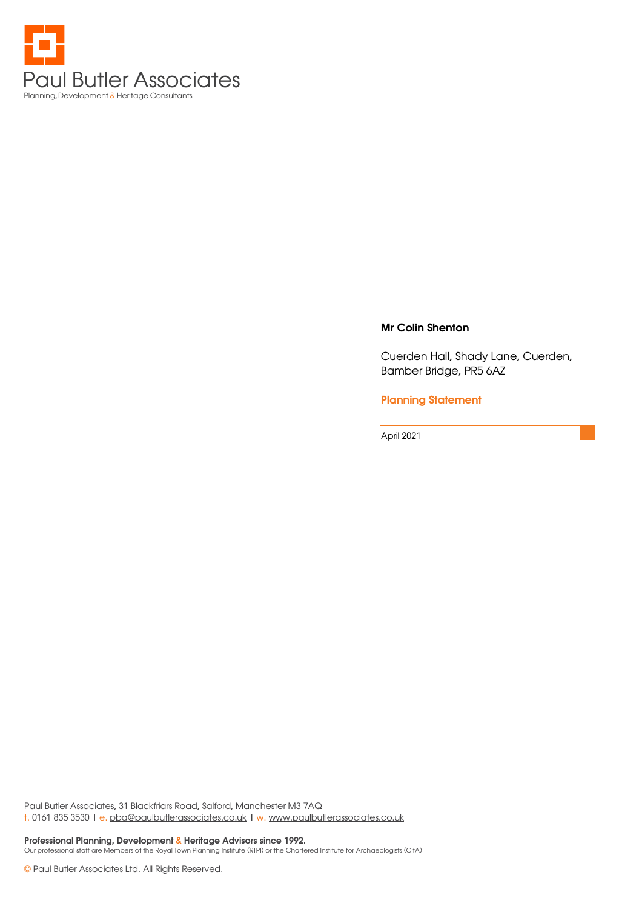

#### Mr Colin Shenton

Cuerden Hall, Shady Lane, Cuerden, Bamber Bridge, PR5 6AZ

#### Planning Statement

April 2021

Paul Butler Associates, 31 Blackfriars Road, Salford, Manchester M3 7AQ t. 0161 835 3530 | e. pba@paulbutlerassociates.co.uk | w. www.paulbutlerassociates.co.uk

Professional Planning, Development & Heritage Advisors since 1992. Our professional staff are Members of the Royal Town Planning Institute (RTPI) or the Chartered Institute for Archaeologists (CIfA)

© Paul Butler Associates Ltd. All Rights Reserved.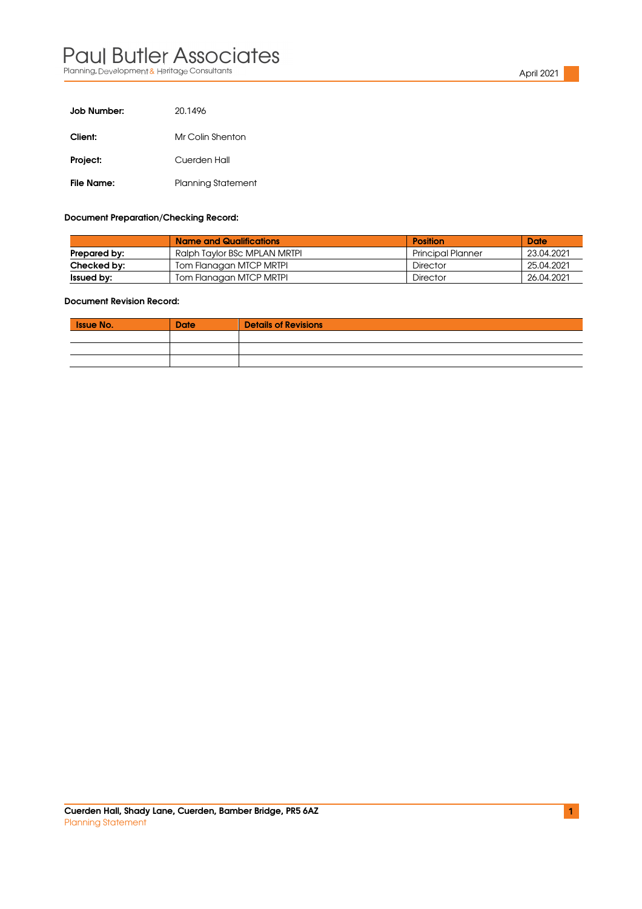### Paul Butler Associates Planning, Development & Heritage Consultants April 2021 **April 2021** April 2021

| Job Number: | 20.1496            |
|-------------|--------------------|
| Client:     | Mr Colin Shenton   |
| Project:    | Cuerden Hall       |
| File Name:  | Planning Statement |

#### Document Preparation/Checking Record:

|                   | <b>Name and Qualifications</b> | Position                 | Date       |
|-------------------|--------------------------------|--------------------------|------------|
| Prepared by:      | Ralph Taylor BSc MPLAN MRTPI   | <b>Principal Planner</b> | 23.04.2021 |
| Checked by:       | Tom Flanagan MTCP MRTPI        | Director                 | 25.04.2021 |
| <b>Issued by:</b> | Tom Flanagan MTCP MRTPI        | Director                 | 26.04.2021 |

#### Document Revision Record:

| <b>Issue No.</b> | <b>Date</b> | <b>Details of Revisions</b> |
|------------------|-------------|-----------------------------|
|                  |             |                             |
|                  |             |                             |
|                  |             |                             |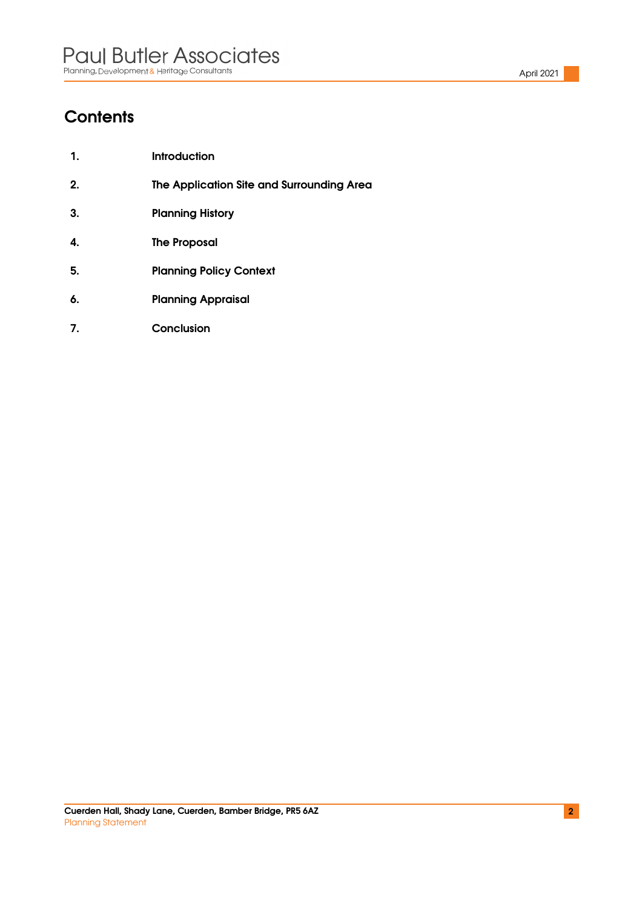# **Contents**

| $\mathbf 1$ . | <b>Introduction</b>                       |
|---------------|-------------------------------------------|
| 2.            | The Application Site and Surrounding Area |
| 3.            | <b>Planning History</b>                   |
| 4.            | <b>The Proposal</b>                       |
| 5.            | <b>Planning Policy Context</b>            |
| 6.            | <b>Planning Appraisal</b>                 |
|               |                                           |

7. Conclusion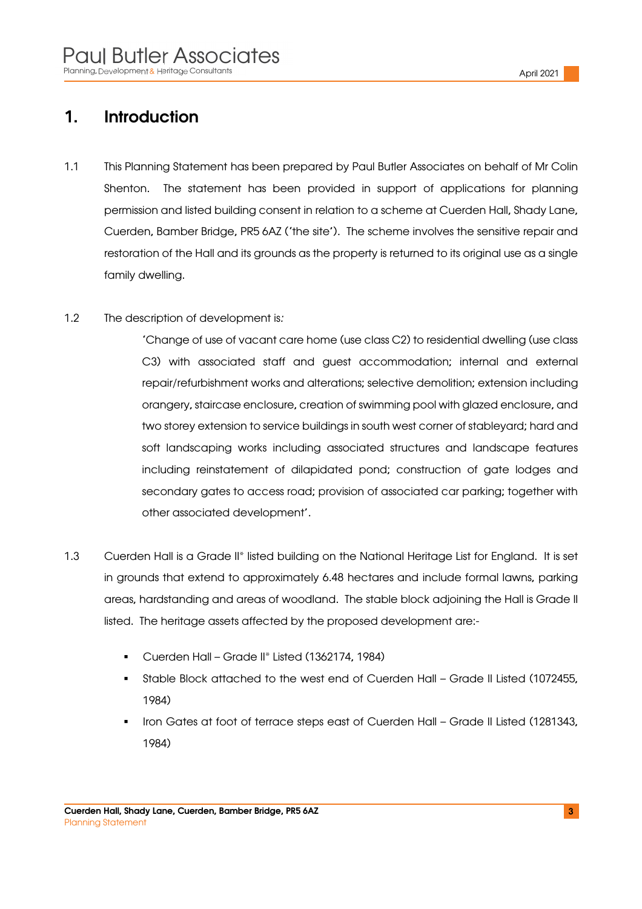### 1. Introduction

- 1.1 This Planning Statement has been prepared by Paul Butler Associates on behalf of Mr Colin Shenton. The statement has been provided in support of applications for planning permission and listed building consent in relation to a scheme at Cuerden Hall, Shady Lane, Cuerden, Bamber Bridge, PR5 6AZ ('the site'). The scheme involves the sensitive repair and restoration of the Hall and its grounds as the property is returned to its original use as a single family dwelling.
- 1.2 The description of development is:

'Change of use of vacant care home (use class C2) to residential dwelling (use class C3) with associated staff and guest accommodation; internal and external repair/refurbishment works and alterations; selective demolition; extension including orangery, staircase enclosure, creation of swimming pool with glazed enclosure, and two storey extension to service buildings in south west corner of stableyard; hard and soft landscaping works including associated structures and landscape features including reinstatement of dilapidated pond; construction of gate lodges and secondary gates to access road; provision of associated car parking; together with other associated development'.

- 1.3 Cuerden Hall is a Grade II\* listed building on the National Heritage List for England. It is set in grounds that extend to approximately 6.48 hectares and include formal lawns, parking areas, hardstanding and areas of woodland. The stable block adjoining the Hall is Grade II listed. The heritage assets affected by the proposed development are:-
	- Cuerden Hall Grade II\* Listed (1362174, 1984)
	- Stable Block attached to the west end of Cuerden Hall Grade II Listed (1072455, 1984)
	- Iron Gates at foot of terrace steps east of Cuerden Hall Grade II Listed (1281343, 1984)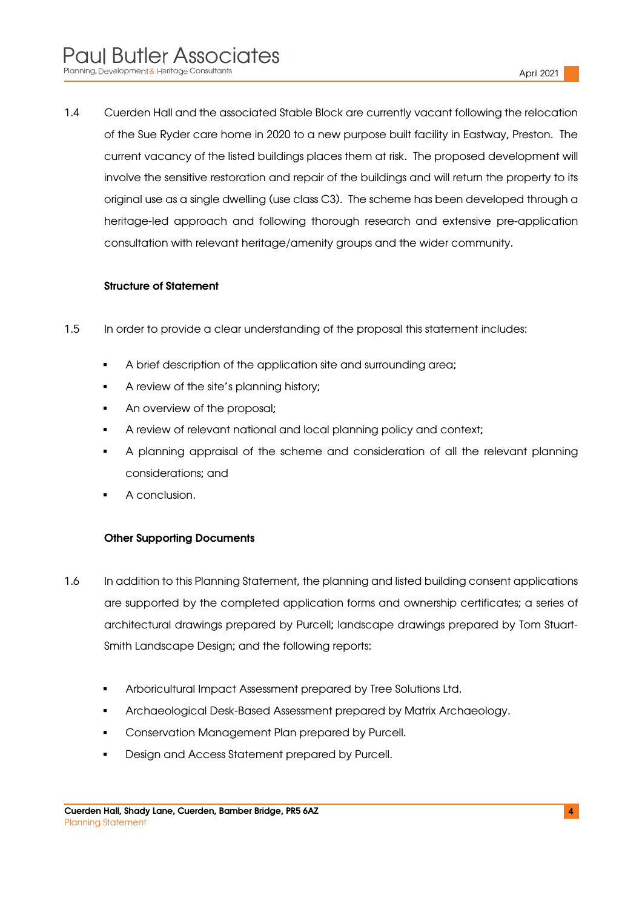1.4 Cuerden Hall and the associated Stable Block are currently vacant following the relocation of the Sue Ryder care home in 2020 to a new purpose built facility in Eastway, Preston. The current vacancy of the listed buildings places them at risk. The proposed development will involve the sensitive restoration and repair of the buildings and will return the property to its original use as a single dwelling (use class C3). The scheme has been developed through a heritage-led approach and following thorough research and extensive pre-application consultation with relevant heritage/amenity groups and the wider community.

#### Structure of Statement

- 1.5 In order to provide a clear understanding of the proposal this statement includes:
	- A brief description of the application site and surrounding area;
	- A review of the site's planning history;
	- An overview of the proposal:
	- A review of relevant national and local planning policy and context;
	- A planning appraisal of the scheme and consideration of all the relevant planning considerations; and
	- A conclusion.

#### Other Supporting Documents

- 1.6 In addition to this Planning Statement, the planning and listed building consent applications are supported by the completed application forms and ownership certificates; a series of architectural drawings prepared by Purcell; landscape drawings prepared by Tom Stuart-Smith Landscape Design; and the following reports:
	- **Arboricultural Impact Assessment prepared by Tree Solutions Ltd.**
	- Archaeological Desk-Based Assessment prepared by Matrix Archaeology.
	- **Conservation Management Plan prepared by Purcell.**
	- Design and Access Statement prepared by Purcell.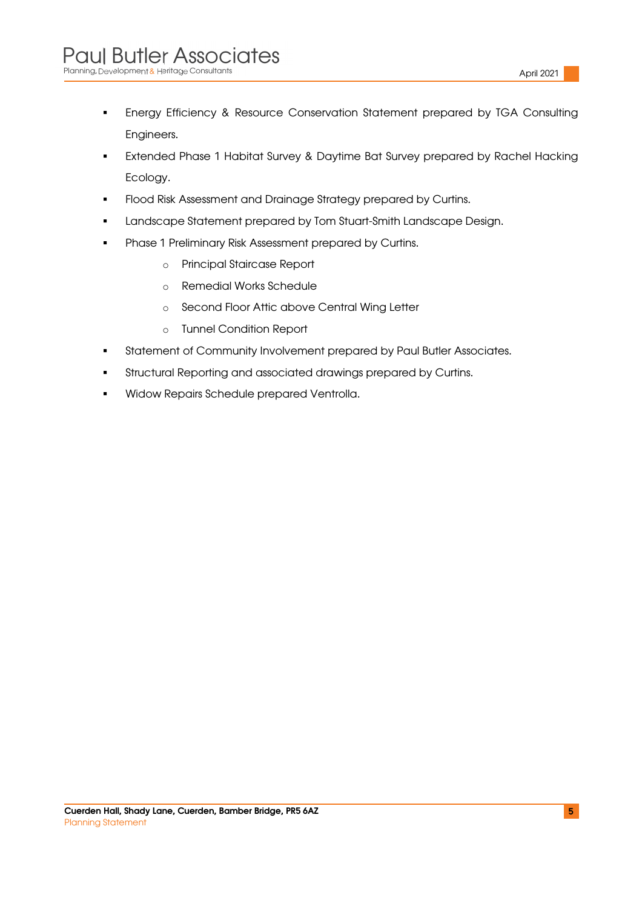- Energy Efficiency & Resource Conservation Statement prepared by TGA Consulting Engineers.
- **Extended Phase 1 Habitat Survey & Daytime Bat Survey prepared by Rachel Hacking** Ecology.
- **Flood Risk Assessment and Drainage Strategy prepared by Curtins.**
- Landscape Statement prepared by Tom Stuart-Smith Landscape Design.
- **Phase 1 Preliminary Risk Assessment prepared by Curtins.** 
	- o Principal Staircase Report
	- o Remedial Works Schedule
	- o Second Floor Attic above Central Wing Letter
	- o Tunnel Condition Report
- **Statement of Community Involvement prepared by Paul Butler Associates.**
- Structural Reporting and associated drawings prepared by Curtins.
- **Widow Repairs Schedule prepared Ventrolla.**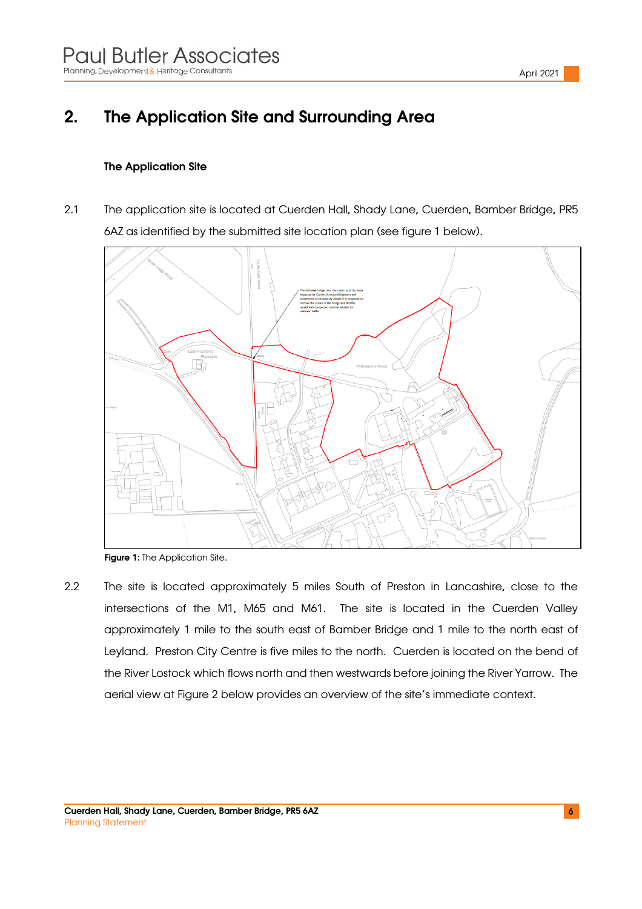# 2. The Application Site and Surrounding Area

#### The Application Site

2.1 The application site is located at Cuerden Hall, Shady Lane, Cuerden, Bamber Bridge, PR5 6AZ as identified by the submitted site location plan (see figure 1 below).





2.2 The site is located approximately 5 miles South of Preston in Lancashire, close to the intersections of the M1, M65 and M61. The site is located in the Cuerden Valley approximately 1 mile to the south east of Bamber Bridge and 1 mile to the north east of Leyland. Preston City Centre is five miles to the north. Cuerden is located on the bend of the River Lostock which flows north and then westwards before joining the River Yarrow. The aerial view at Figure 2 below provides an overview of the site's immediate context.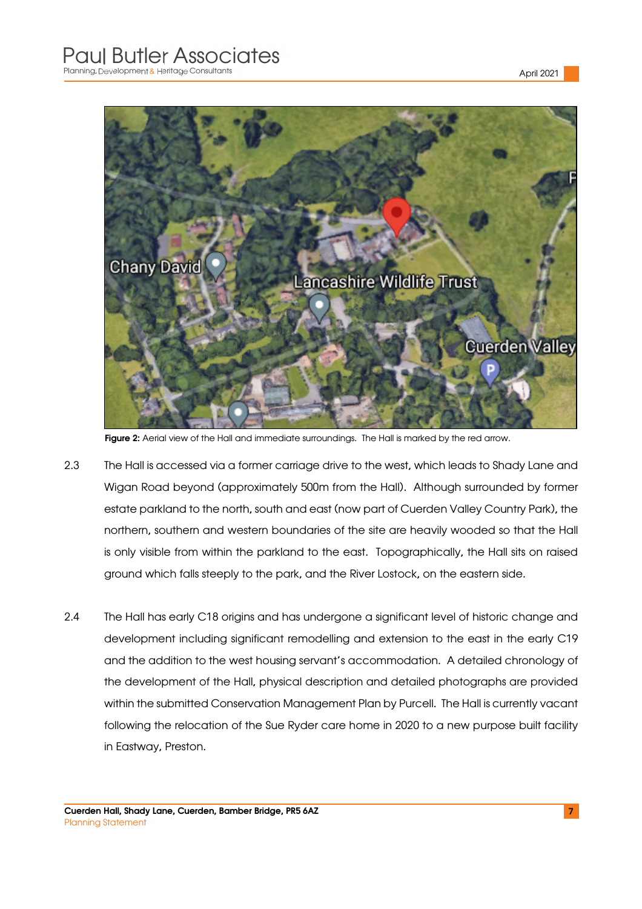

Figure 2: Aerial view of the Hall and immediate surroundings. The Hall is marked by the red arrow.

- 2.3 The Hall is accessed via a former carriage drive to the west, which leads to Shady Lane and Wigan Road beyond (approximately 500m from the Hall). Although surrounded by former estate parkland to the north, south and east (now part of Cuerden Valley Country Park), the northern, southern and western boundaries of the site are heavily wooded so that the Hall is only visible from within the parkland to the east. Topographically, the Hall sits on raised ground which falls steeply to the park, and the River Lostock, on the eastern side.
- 2.4 The Hall has early C18 origins and has undergone a significant level of historic change and development including significant remodelling and extension to the east in the early C19 and the addition to the west housing servant's accommodation. A detailed chronology of the development of the Hall, physical description and detailed photographs are provided within the submitted Conservation Management Plan by Purcell. The Hall is currently vacant following the relocation of the Sue Ryder care home in 2020 to a new purpose built facility in Eastway, Preston.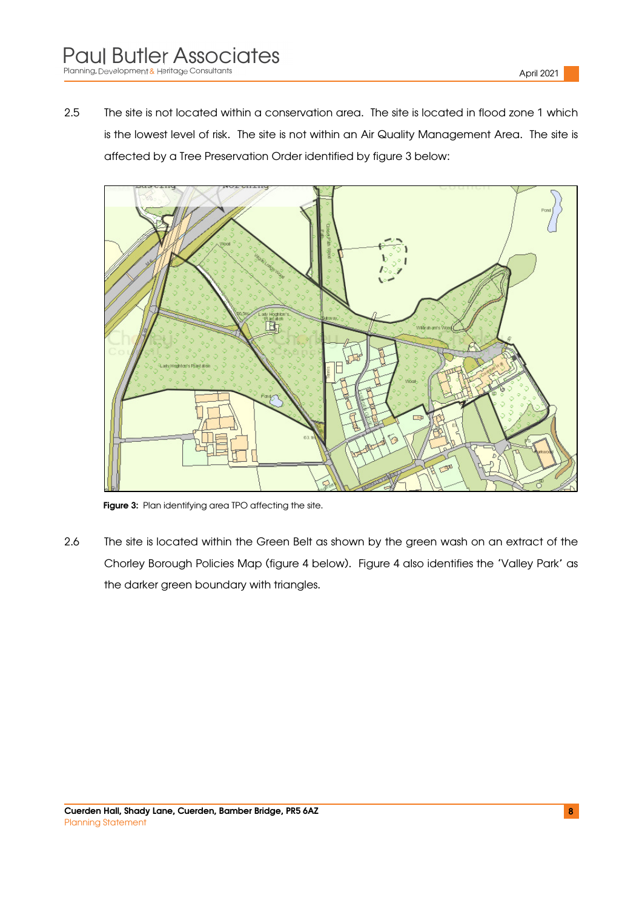2.5 The site is not located within a conservation area. The site is located in flood zone 1 which is the lowest level of risk. The site is not within an Air Quality Management Area. The site is affected by a Tree Preservation Order identified by figure 3 below:



Figure 3: Plan identifying area TPO affecting the site.

2.6 The site is located within the Green Belt as shown by the green wash on an extract of the Chorley Borough Policies Map (figure 4 below). Figure 4 also identifies the 'Valley Park' as the darker green boundary with triangles.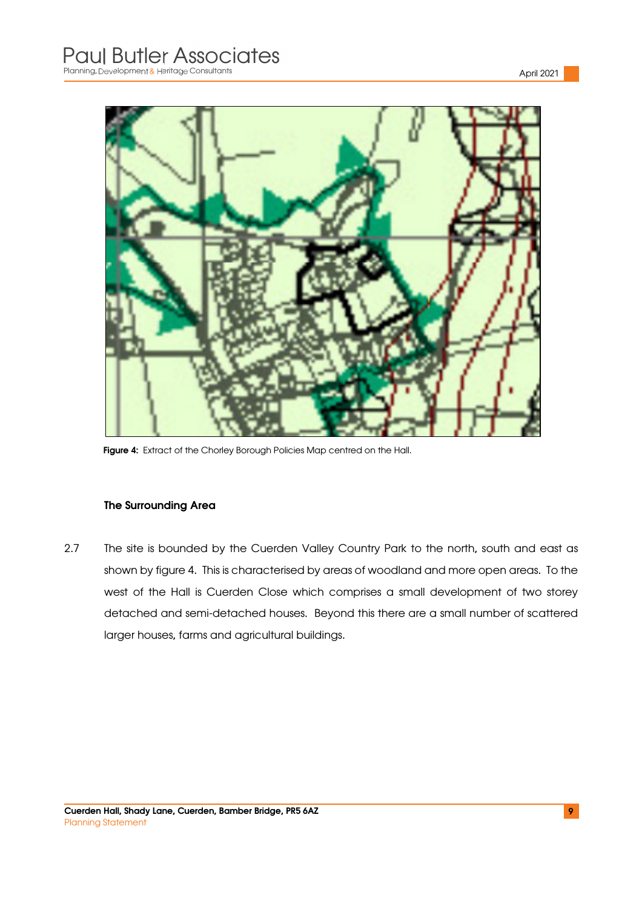

Figure 4: Extract of the Chorley Borough Policies Map centred on the Hall.

#### The Surrounding Area

2.7 The site is bounded by the Cuerden Valley Country Park to the north, south and east as shown by figure 4. This is characterised by areas of woodland and more open areas. To the west of the Hall is Cuerden Close which comprises a small development of two storey detached and semi-detached houses. Beyond this there are a small number of scattered larger houses, farms and agricultural buildings.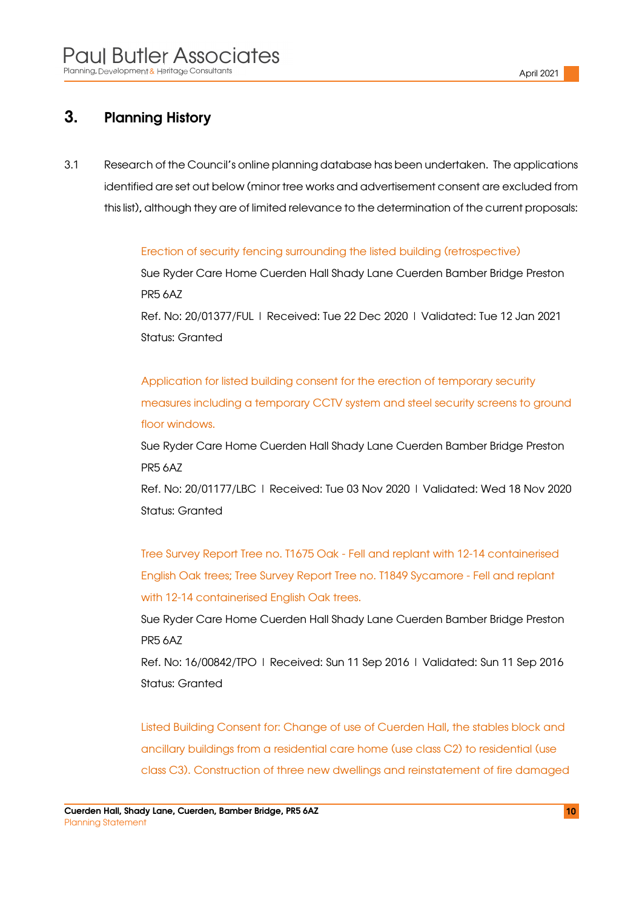### 3. Planning History

3.1 Research of the Council's online planning database has been undertaken. The applications identified are set out below (minor tree works and advertisement consent are excluded from this list), although they are of limited relevance to the determination of the current proposals:

Erection of security fencing surrounding the listed building (retrospective)

Sue Ryder Care Home Cuerden Hall Shady Lane Cuerden Bamber Bridge Preston PR5 6AZ

Ref. No: 20/01377/FUL | Received: Tue 22 Dec 2020 | Validated: Tue 12 Jan 2021 Status: Granted

Application for listed building consent for the erection of temporary security measures including a temporary CCTV system and steel security screens to ground floor windows.

Sue Ryder Care Home Cuerden Hall Shady Lane Cuerden Bamber Bridge Preston PR5 6AZ

Ref. No: 20/01177/LBC | Received: Tue 03 Nov 2020 | Validated: Wed 18 Nov 2020 Status: Granted

Tree Survey Report Tree no. T1675 Oak - Fell and replant with 12-14 containerised English Oak trees; Tree Survey Report Tree no. T1849 Sycamore - Fell and replant with 12-14 containerised English Oak trees.

Sue Ryder Care Home Cuerden Hall Shady Lane Cuerden Bamber Bridge Preston PR5 6AZ

Ref. No: 16/00842/TPO | Received: Sun 11 Sep 2016 | Validated: Sun 11 Sep 2016 Status: Granted

Listed Building Consent for: Change of use of Cuerden Hall, the stables block and ancillary buildings from a residential care home (use class C2) to residential (use class C3). Construction of three new dwellings and reinstatement of fire damaged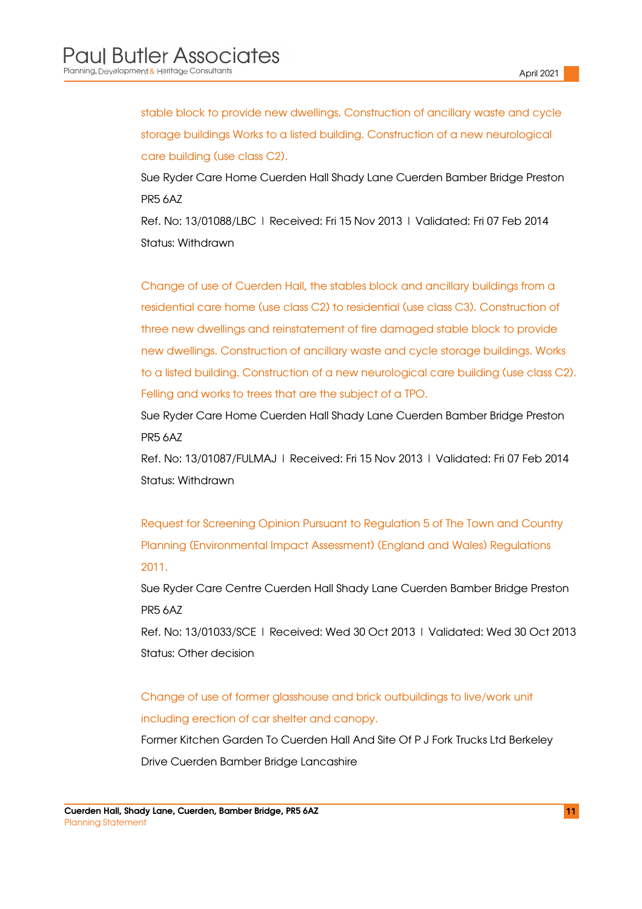stable block to provide new dwellings. Construction of ancillary waste and cycle storage buildings Works to a listed building. Construction of a new neurological care building (use class C2).

Sue Ryder Care Home Cuerden Hall Shady Lane Cuerden Bamber Bridge Preston PR5 6AZ

Ref. No: 13/01088/LBC | Received: Fri 15 Nov 2013 | Validated: Fri 07 Feb 2014 Status: Withdrawn

Change of use of Cuerden Hall, the stables block and ancillary buildings from a residential care home (use class C2) to residential (use class C3). Construction of three new dwellings and reinstatement of fire damaged stable block to provide new dwellings. Construction of ancillary waste and cycle storage buildings. Works to a listed building. Construction of a new neurological care building (use class C2). Felling and works to trees that are the subject of a TPO.

Sue Ryder Care Home Cuerden Hall Shady Lane Cuerden Bamber Bridge Preston PR5 6AZ

Ref. No: 13/01087/FULMAJ | Received: Fri 15 Nov 2013 | Validated: Fri 07 Feb 2014 Status: Withdrawn

Request for Screening Opinion Pursuant to Regulation 5 of The Town and Country Planning (Environmental Impact Assessment) (England and Wales) Regulations 2011.

Sue Ryder Care Centre Cuerden Hall Shady Lane Cuerden Bamber Bridge Preston PR5 6AZ

Ref. No: 13/01033/SCE | Received: Wed 30 Oct 2013 | Validated: Wed 30 Oct 2013 Status: Other decision

Change of use of former glasshouse and brick outbuildings to live/work unit including erection of car shelter and canopy.

Former Kitchen Garden To Cuerden Hall And Site Of P J Fork Trucks Ltd Berkeley Drive Cuerden Bamber Bridge Lancashire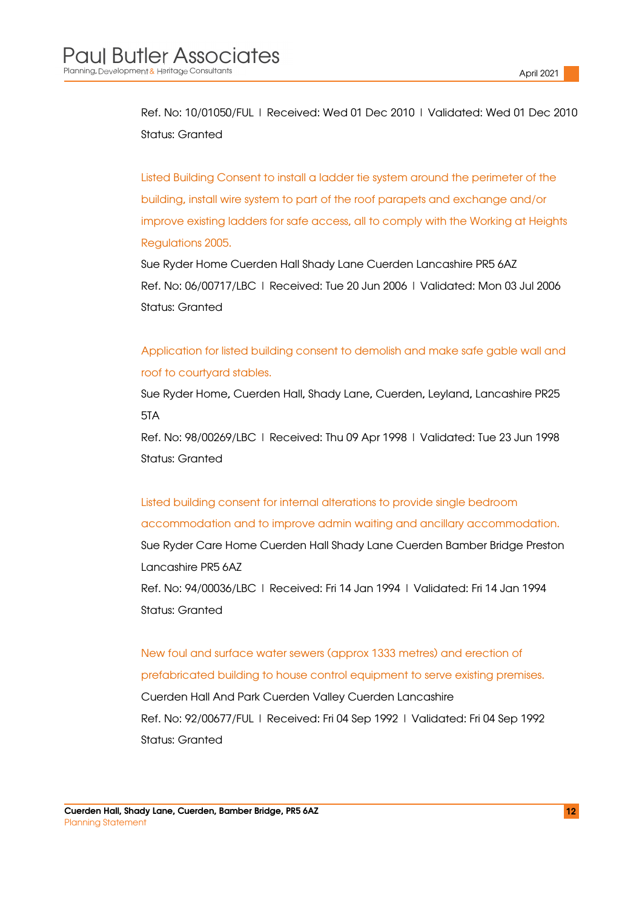Ref. No: 10/01050/FUL | Received: Wed 01 Dec 2010 | Validated: Wed 01 Dec 2010 Status: Granted

Listed Building Consent to install a ladder tie system around the perimeter of the building, install wire system to part of the roof parapets and exchange and/or improve existing ladders for safe access, all to comply with the Working at Heights Regulations 2005.

Sue Ryder Home Cuerden Hall Shady Lane Cuerden Lancashire PR5 6AZ Ref. No: 06/00717/LBC | Received: Tue 20 Jun 2006 | Validated: Mon 03 Jul 2006 Status: Granted

Application for listed building consent to demolish and make safe gable wall and roof to courtyard stables.

Sue Ryder Home, Cuerden Hall, Shady Lane, Cuerden, Leyland, Lancashire PR25 5TA

Ref. No: 98/00269/LBC | Received: Thu 09 Apr 1998 | Validated: Tue 23 Jun 1998 Status: Granted

Listed building consent for internal alterations to provide single bedroom accommodation and to improve admin waiting and ancillary accommodation. Sue Ryder Care Home Cuerden Hall Shady Lane Cuerden Bamber Bridge Preston Lancashire PR5 6AZ Ref. No: 94/00036/LBC | Received: Fri 14 Jan 1994 | Validated: Fri 14 Jan 1994 Status: Granted

New foul and surface water sewers (approx 1333 metres) and erection of prefabricated building to house control equipment to serve existing premises. Cuerden Hall And Park Cuerden Valley Cuerden Lancashire Ref. No: 92/00677/FUL | Received: Fri 04 Sep 1992 | Validated: Fri 04 Sep 1992 Status: Granted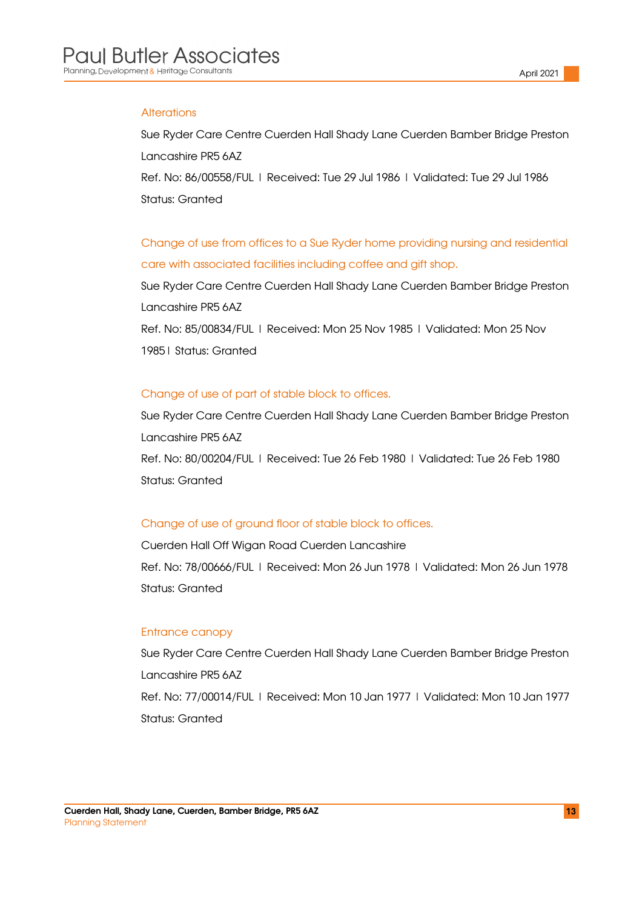#### **Alterations**

Sue Ryder Care Centre Cuerden Hall Shady Lane Cuerden Bamber Bridge Preston Lancashire PR5 6AZ

Ref. No: 86/00558/FUL | Received: Tue 29 Jul 1986 | Validated: Tue 29 Jul 1986 Status: Granted

Change of use from offices to a Sue Ryder home providing nursing and residential care with associated facilities including coffee and gift shop.

Sue Ryder Care Centre Cuerden Hall Shady Lane Cuerden Bamber Bridge Preston Lancashire PR5 6AZ Ref. No: 85/00834/FUL | Received: Mon 25 Nov 1985 | Validated: Mon 25 Nov 1985| Status: Granted

#### Change of use of part of stable block to offices.

Sue Ryder Care Centre Cuerden Hall Shady Lane Cuerden Bamber Bridge Preston Lancashire PR5 6AZ Ref. No: 80/00204/FUL | Received: Tue 26 Feb 1980 | Validated: Tue 26 Feb 1980 Status: Granted

#### Change of use of ground floor of stable block to offices.

Cuerden Hall Off Wigan Road Cuerden Lancashire Ref. No: 78/00666/FUL | Received: Mon 26 Jun 1978 | Validated: Mon 26 Jun 1978 Status: Granted

#### Entrance canopy

Sue Ryder Care Centre Cuerden Hall Shady Lane Cuerden Bamber Bridge Preston Lancashire PR5 6AZ Ref. No: 77/00014/FUL | Received: Mon 10 Jan 1977 | Validated: Mon 10 Jan 1977 Status: Granted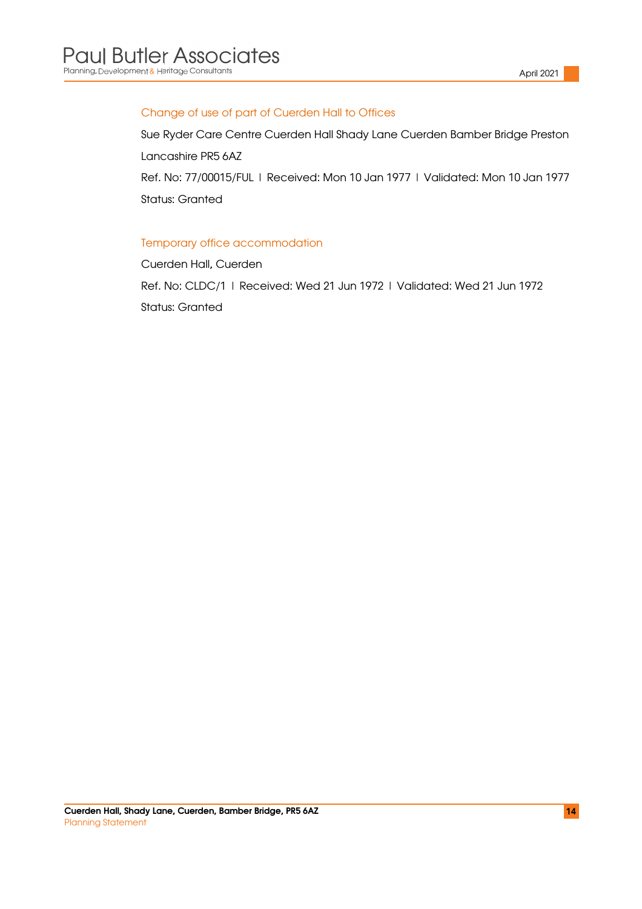#### Change of use of part of Cuerden Hall to Offices

Sue Ryder Care Centre Cuerden Hall Shady Lane Cuerden Bamber Bridge Preston Lancashire PR5 6AZ Ref. No: 77/00015/FUL | Received: Mon 10 Jan 1977 | Validated: Mon 10 Jan 1977

Status: Granted

#### Temporary office accommodation

Cuerden Hall, Cuerden Ref. No: CLDC/1 | Received: Wed 21 Jun 1972 | Validated: Wed 21 Jun 1972 Status: Granted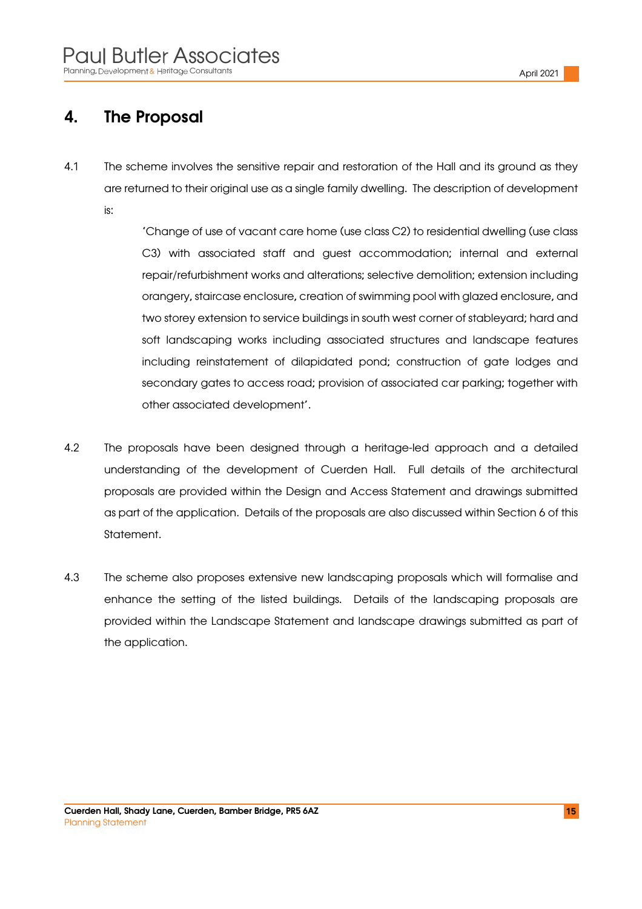### 4. The Proposal

4.1 The scheme involves the sensitive repair and restoration of the Hall and its ground as they are returned to their original use as a single family dwelling. The description of development is:

> 'Change of use of vacant care home (use class C2) to residential dwelling (use class C3) with associated staff and guest accommodation; internal and external repair/refurbishment works and alterations; selective demolition; extension including orangery, staircase enclosure, creation of swimming pool with glazed enclosure, and two storey extension to service buildings in south west corner of stableyard; hard and soft landscaping works including associated structures and landscape features including reinstatement of dilapidated pond; construction of gate lodges and secondary gates to access road; provision of associated car parking; together with other associated development'.

- 4.2 The proposals have been designed through a heritage-led approach and a detailed understanding of the development of Cuerden Hall. Full details of the architectural proposals are provided within the Design and Access Statement and drawings submitted as part of the application. Details of the proposals are also discussed within Section 6 of this Statement.
- 4.3 The scheme also proposes extensive new landscaping proposals which will formalise and enhance the setting of the listed buildings. Details of the landscaping proposals are provided within the Landscape Statement and landscape drawings submitted as part of the application.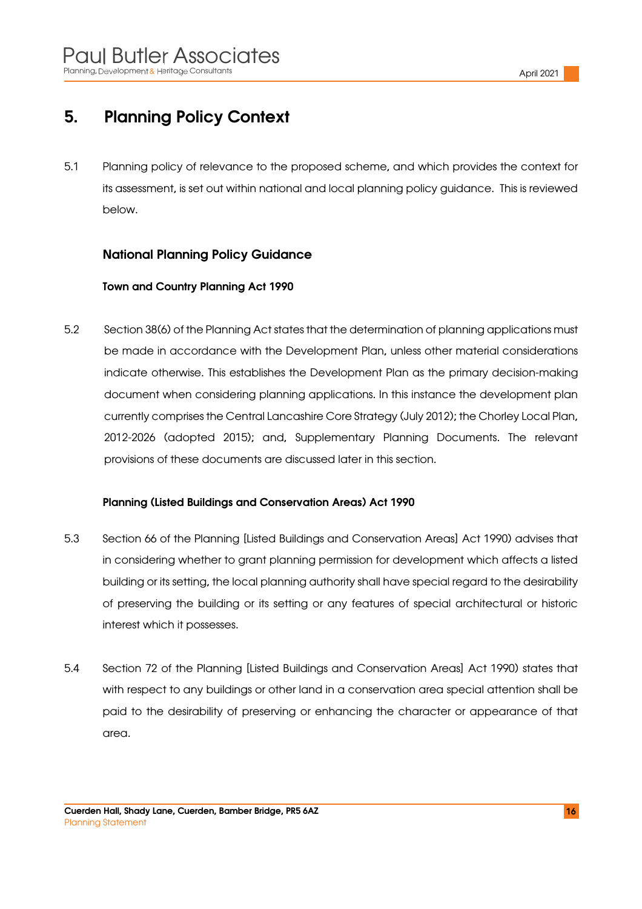# 5. Planning Policy Context

5.1 Planning policy of relevance to the proposed scheme, and which provides the context for its assessment, is set out within national and local planning policy guidance. This is reviewed below.

### National Planning Policy Guidance

#### Town and Country Planning Act 1990

5.2 Section 38(6) of the Planning Act states that the determination of planning applications must be made in accordance with the Development Plan, unless other material considerations indicate otherwise. This establishes the Development Plan as the primary decision-making document when considering planning applications. In this instance the development plan currently comprises the Central Lancashire Core Strategy (July 2012); the Chorley Local Plan, 2012-2026 (adopted 2015); and, Supplementary Planning Documents. The relevant provisions of these documents are discussed later in this section.

#### Planning (Listed Buildings and Conservation Areas) Act 1990

- 5.3 Section 66 of the Planning [Listed Buildings and Conservation Areas] Act 1990) advises that in considering whether to grant planning permission for development which affects a listed building or its setting, the local planning authority shall have special regard to the desirability of preserving the building or its setting or any features of special architectural or historic interest which it possesses.
- 5.4 Section 72 of the Planning [Listed Buildings and Conservation Areas] Act 1990) states that with respect to any buildings or other land in a conservation area special attention shall be paid to the desirability of preserving or enhancing the character or appearance of that area.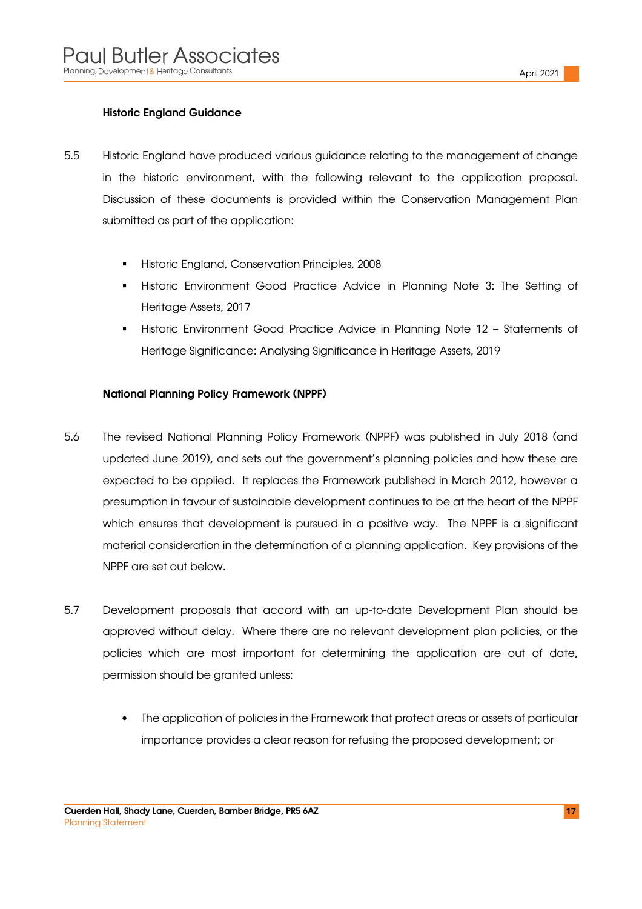#### Historic England Guidance

- 5.5 Historic England have produced various guidance relating to the management of change in the historic environment, with the following relevant to the application proposal. Discussion of these documents is provided within the Conservation Management Plan submitted as part of the application:
	- Historic England, Conservation Principles, 2008
	- Historic Environment Good Practice Advice in Planning Note 3: The Setting of Heritage Assets, 2017
	- Historic Environment Good Practice Advice in Planning Note 12 Statements of Heritage Significance: Analysing Significance in Heritage Assets, 2019

#### National Planning Policy Framework (NPPF)

- 5.6 The revised National Planning Policy Framework (NPPF) was published in July 2018 (and updated June 2019), and sets out the government's planning policies and how these are expected to be applied. It replaces the Framework published in March 2012, however a presumption in favour of sustainable development continues to be at the heart of the NPPF which ensures that development is pursued in a positive way. The NPPF is a significant material consideration in the determination of a planning application. Key provisions of the NPPF are set out below.
- 5.7 Development proposals that accord with an up-to-date Development Plan should be approved without delay. Where there are no relevant development plan policies, or the policies which are most important for determining the application are out of date, permission should be granted unless:
	- The application of policies in the Framework that protect areas or assets of particular importance provides a clear reason for refusing the proposed development; or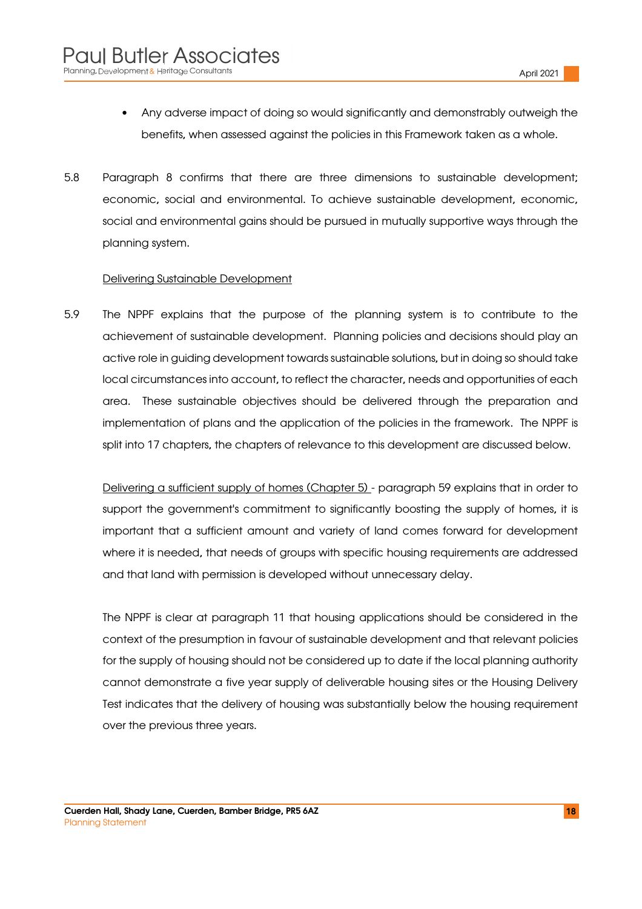- Any adverse impact of doing so would significantly and demonstrably outweigh the benefits, when assessed against the policies in this Framework taken as a whole.
- 5.8 Paragraph 8 confirms that there are three dimensions to sustainable development; economic, social and environmental. To achieve sustainable development, economic, social and environmental gains should be pursued in mutually supportive ways through the planning system.

#### Delivering Sustainable Development

5.9 The NPPF explains that the purpose of the planning system is to contribute to the achievement of sustainable development. Planning policies and decisions should play an active role in guiding development towards sustainable solutions, but in doing so should take local circumstances into account, to reflect the character, needs and opportunities of each area. These sustainable objectives should be delivered through the preparation and implementation of plans and the application of the policies in the framework. The NPPF is split into 17 chapters, the chapters of relevance to this development are discussed below.

Delivering a sufficient supply of homes (Chapter 5) - paragraph 59 explains that in order to support the government's commitment to significantly boosting the supply of homes, it is important that a sufficient amount and variety of land comes forward for development where it is needed, that needs of groups with specific housing requirements are addressed and that land with permission is developed without unnecessary delay.

The NPPF is clear at paragraph 11 that housing applications should be considered in the context of the presumption in favour of sustainable development and that relevant policies for the supply of housing should not be considered up to date if the local planning authority cannot demonstrate a five year supply of deliverable housing sites or the Housing Delivery Test indicates that the delivery of housing was substantially below the housing requirement over the previous three years.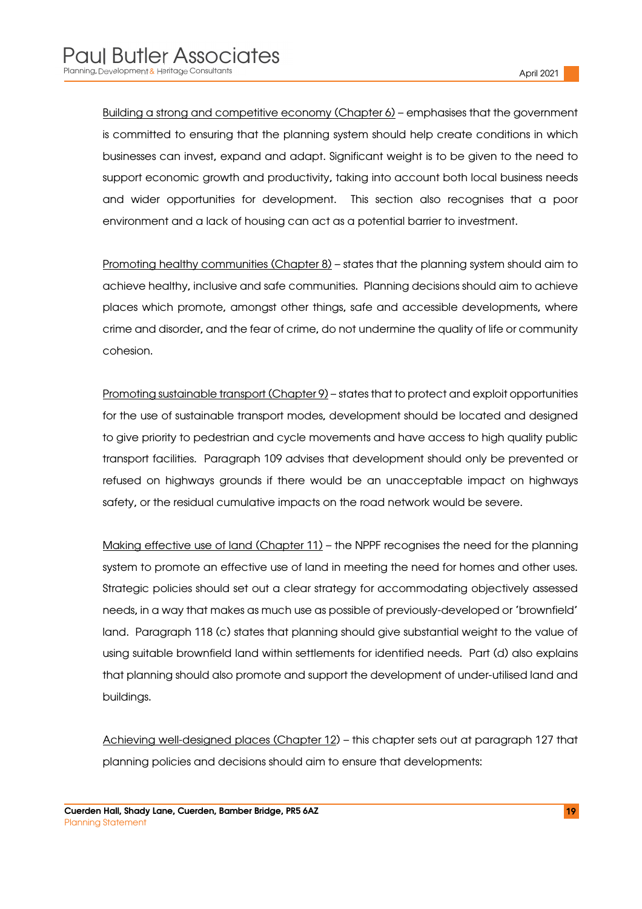Building a strong and competitive economy (Chapter 6) – emphasises that the government is committed to ensuring that the planning system should help create conditions in which businesses can invest, expand and adapt. Significant weight is to be given to the need to support economic growth and productivity, taking into account both local business needs and wider opportunities for development. This section also recognises that a poor environment and a lack of housing can act as a potential barrier to investment.

Promoting healthy communities (Chapter 8) – states that the planning system should aim to achieve healthy, inclusive and safe communities. Planning decisions should aim to achieve places which promote, amongst other things, safe and accessible developments, where crime and disorder, and the fear of crime, do not undermine the quality of life or community cohesion.

Promoting sustainable transport (Chapter 9) – states that to protect and exploit opportunities for the use of sustainable transport modes, development should be located and designed to give priority to pedestrian and cycle movements and have access to high quality public transport facilities. Paragraph 109 advises that development should only be prevented or refused on highways grounds if there would be an unacceptable impact on highways safety, or the residual cumulative impacts on the road network would be severe.

Making effective use of land (Chapter 11) – the NPPF recognises the need for the planning system to promote an effective use of land in meeting the need for homes and other uses. Strategic policies should set out a clear strategy for accommodating objectively assessed needs, in a way that makes as much use as possible of previously-developed or 'brownfield' land. Paragraph 118 (c) states that planning should give substantial weight to the value of using suitable brownfield land within settlements for identified needs. Part (d) also explains that planning should also promote and support the development of under-utilised land and buildings.

Achieving well-designed places (Chapter 12) – this chapter sets out at paragraph 127 that planning policies and decisions should aim to ensure that developments: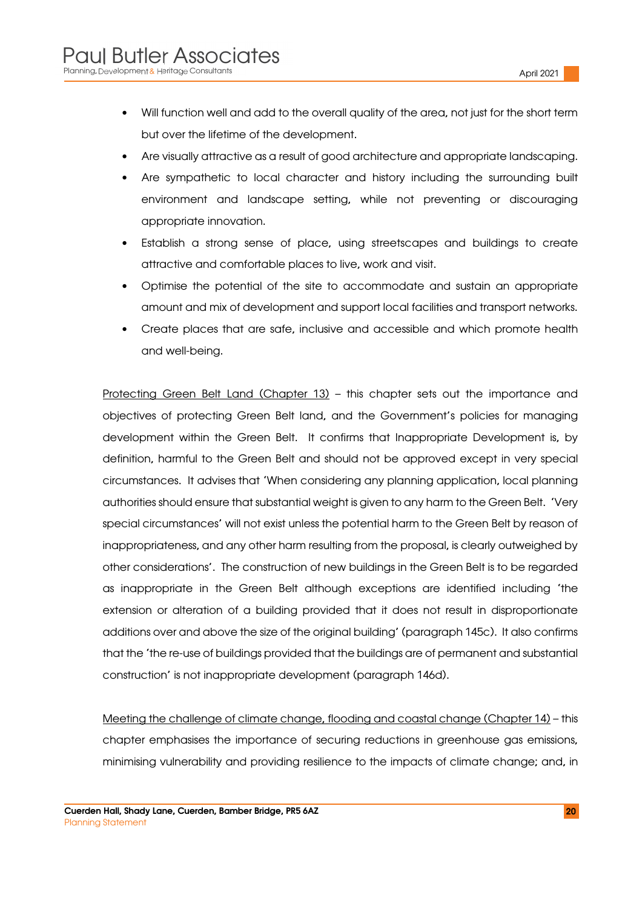- Will function well and add to the overall quality of the area, not just for the short term but over the lifetime of the development.
- Are visually attractive as a result of good architecture and appropriate landscaping.
- Are sympathetic to local character and history including the surrounding built environment and landscape setting, while not preventing or discouraging appropriate innovation.
- Establish a strong sense of place, using streetscapes and buildings to create attractive and comfortable places to live, work and visit.
- Optimise the potential of the site to accommodate and sustain an appropriate amount and mix of development and support local facilities and transport networks.
- Create places that are safe, inclusive and accessible and which promote health and well-being.

Protecting Green Belt Land (Chapter 13) – this chapter sets out the importance and objectives of protecting Green Belt land, and the Government's policies for managing development within the Green Belt. It confirms that Inappropriate Development is, by definition, harmful to the Green Belt and should not be approved except in very special circumstances. It advises that 'When considering any planning application, local planning authorities should ensure that substantial weight is given to any harm to the Green Belt. 'Very special circumstances' will not exist unless the potential harm to the Green Belt by reason of inappropriateness, and any other harm resulting from the proposal, is clearly outweighed by other considerations'. The construction of new buildings in the Green Belt is to be regarded as inappropriate in the Green Belt although exceptions are identified including 'the extension or alteration of a building provided that it does not result in disproportionate additions over and above the size of the original building' (paragraph 145c). It also confirms that the 'the re-use of buildings provided that the buildings are of permanent and substantial construction' is not inappropriate development (paragraph 146d).

Meeting the challenge of climate change, flooding and coastal change (Chapter 14) – this chapter emphasises the importance of securing reductions in greenhouse gas emissions, minimising vulnerability and providing resilience to the impacts of climate change; and, in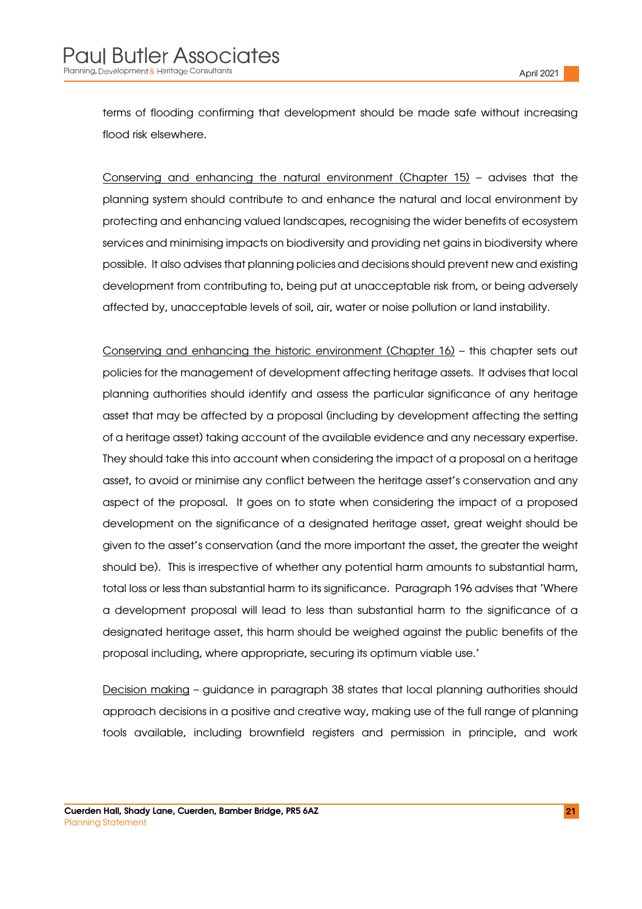terms of flooding confirming that development should be made safe without increasing flood risk elsewhere.

Conserving and enhancing the natural environment (Chapter 15) – advises that the planning system should contribute to and enhance the natural and local environment by protecting and enhancing valued landscapes, recognising the wider benefits of ecosystem services and minimising impacts on biodiversity and providing net gains in biodiversity where possible. It also advises that planning policies and decisions should prevent new and existing development from contributing to, being put at unacceptable risk from, or being adversely affected by, unacceptable levels of soil, air, water or noise pollution or land instability.

Conserving and enhancing the historic environment (Chapter 16) – this chapter sets out policies for the management of development affecting heritage assets. It advises that local planning authorities should identify and assess the particular significance of any heritage asset that may be affected by a proposal (including by development affecting the setting of a heritage asset) taking account of the available evidence and any necessary expertise. They should take this into account when considering the impact of a proposal on a heritage asset, to avoid or minimise any conflict between the heritage asset's conservation and any aspect of the proposal. It goes on to state when considering the impact of a proposed development on the significance of a designated heritage asset, great weight should be given to the asset's conservation (and the more important the asset, the greater the weight should be). This is irrespective of whether any potential harm amounts to substantial harm, total loss or less than substantial harm to its significance. Paragraph 196 advises that 'Where a development proposal will lead to less than substantial harm to the significance of a designated heritage asset, this harm should be weighed against the public benefits of the proposal including, where appropriate, securing its optimum viable use.'

Decision making - guidance in paragraph 38 states that local planning authorities should approach decisions in a positive and creative way, making use of the full range of planning tools available, including brownfield registers and permission in principle, and work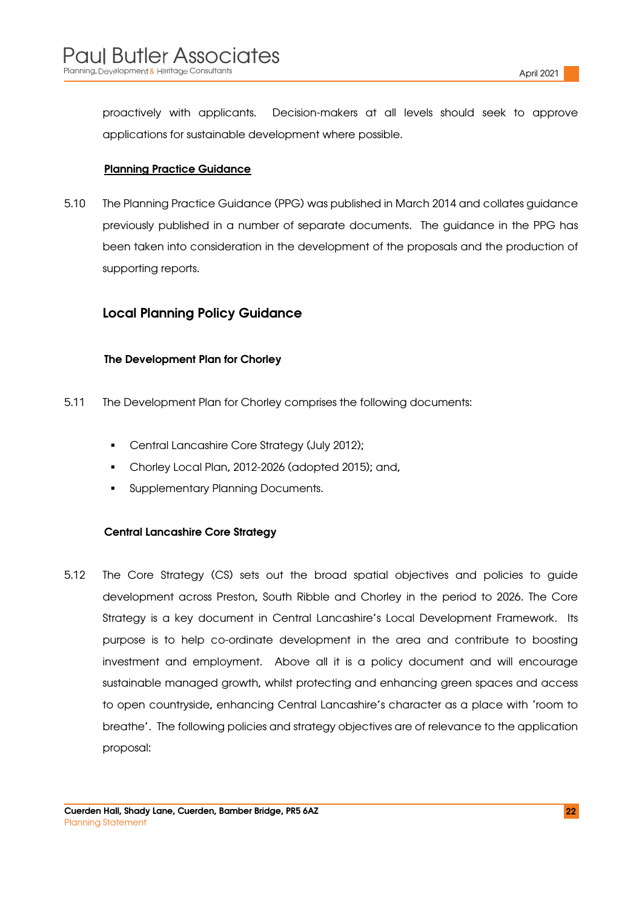proactively with applicants. Decision-makers at all levels should seek to approve applications for sustainable development where possible.

#### Planning Practice Guidance

5.10 The Planning Practice Guidance (PPG) was published in March 2014 and collates guidance previously published in a number of separate documents. The guidance in the PPG has been taken into consideration in the development of the proposals and the production of supporting reports.

#### Local Planning Policy Guidance

#### The Development Plan for Chorley

- 5.11 The Development Plan for Chorley comprises the following documents:
	- Central Lancashire Core Strategy (July 2012);
	- Chorley Local Plan, 2012-2026 (adopted 2015); and,
	- Supplementary Planning Documents.

#### Central Lancashire Core Strategy

5.12 The Core Strategy (CS) sets out the broad spatial objectives and policies to guide development across Preston, South Ribble and Chorley in the period to 2026. The Core Strategy is a key document in Central Lancashire's Local Development Framework. Its purpose is to help co-ordinate development in the area and contribute to boosting investment and employment. Above all it is a policy document and will encourage sustainable managed growth, whilst protecting and enhancing green spaces and access to open countryside, enhancing Central Lancashire's character as a place with 'room to breathe'. The following policies and strategy objectives are of relevance to the application proposal: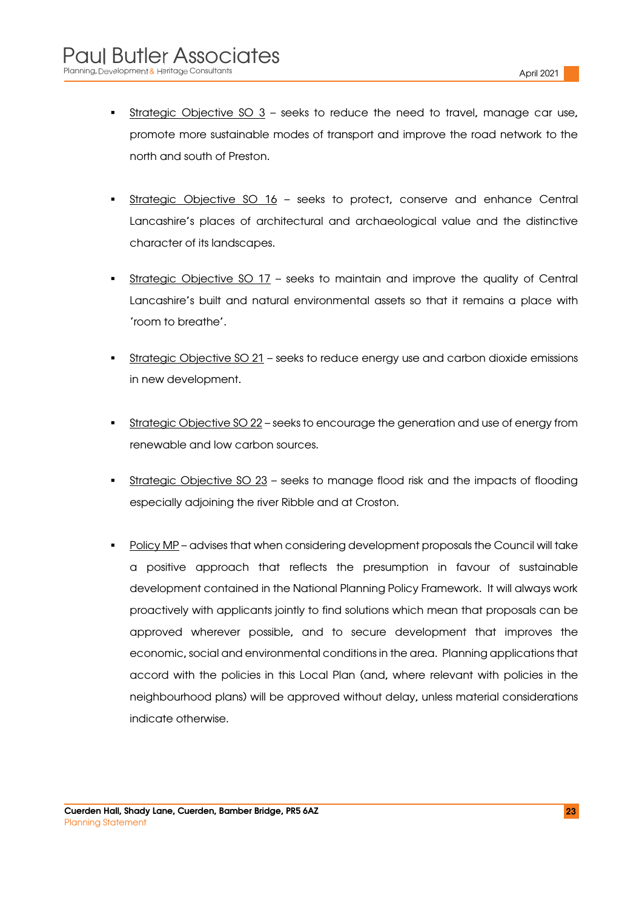- Strategic Objective SO  $3$  seeks to reduce the need to travel, manage car use, promote more sustainable modes of transport and improve the road network to the north and south of Preston.
- Strategic Objective SO 16 seeks to protect, conserve and enhance Central Lancashire's places of architectural and archaeological value and the distinctive character of its landscapes.
- Strategic Objective SO 17 seeks to maintain and improve the quality of Central Lancashire's built and natural environmental assets so that it remains a place with 'room to breathe'.
- Strategic Objective SO 21 seeks to reduce energy use and carbon dioxide emissions in new development.
- Strategic Objective SO 22 seeks to encourage the generation and use of energy from renewable and low carbon sources.
- Strategic Objective SO 23 seeks to manage flood risk and the impacts of flooding especially adjoining the river Ribble and at Croston.
- Policy MP advises that when considering development proposals the Council will take a positive approach that reflects the presumption in favour of sustainable development contained in the National Planning Policy Framework. It will always work proactively with applicants jointly to find solutions which mean that proposals can be approved wherever possible, and to secure development that improves the economic, social and environmental conditions in the area. Planning applications that accord with the policies in this Local Plan (and, where relevant with policies in the neighbourhood plans) will be approved without delay, unless material considerations indicate otherwise.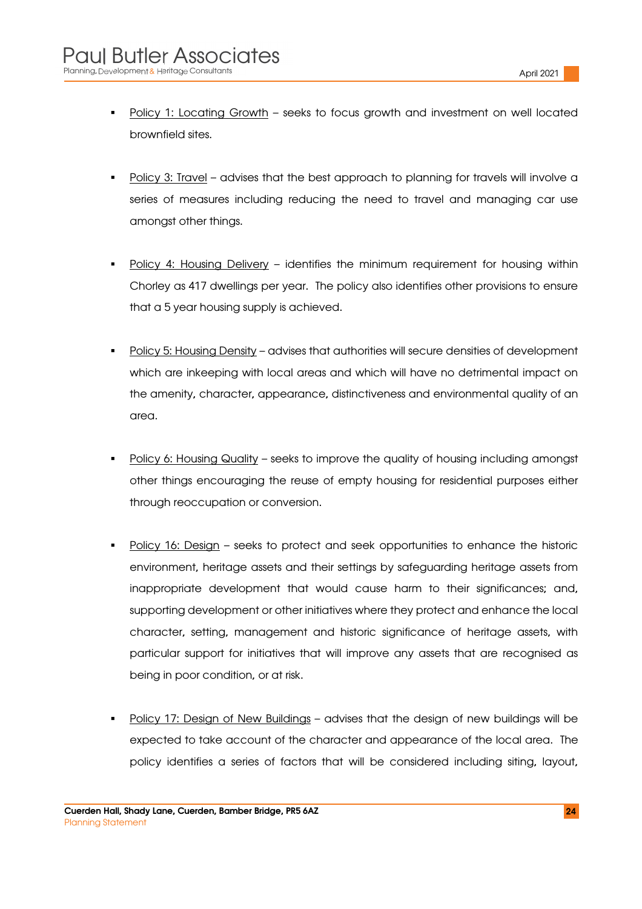- Policy 1: Locating Growth seeks to focus growth and investment on well located brownfield sites.
- Policy 3: Travel advises that the best approach to planning for travels will involve a series of measures including reducing the need to travel and managing car use amongst other things.
- Policy 4: Housing Delivery identifies the minimum requirement for housing within Chorley as 417 dwellings per year. The policy also identifies other provisions to ensure that a 5 year housing supply is achieved.
- Policy 5: Housing Density advises that authorities will secure densities of development which are inkeeping with local areas and which will have no detrimental impact on the amenity, character, appearance, distinctiveness and environmental quality of an area.
- Policy 6: Housing Quality seeks to improve the quality of housing including amongst other things encouraging the reuse of empty housing for residential purposes either through reoccupation or conversion.
- Policy 16: Design seeks to protect and seek opportunities to enhance the historic environment, heritage assets and their settings by safeguarding heritage assets from inappropriate development that would cause harm to their significances; and, supporting development or other initiatives where they protect and enhance the local character, setting, management and historic significance of heritage assets, with particular support for initiatives that will improve any assets that are recognised as being in poor condition, or at risk.
- Policy 17: Design of New Buildings advises that the design of new buildings will be expected to take account of the character and appearance of the local area. The policy identifies a series of factors that will be considered including siting, layout,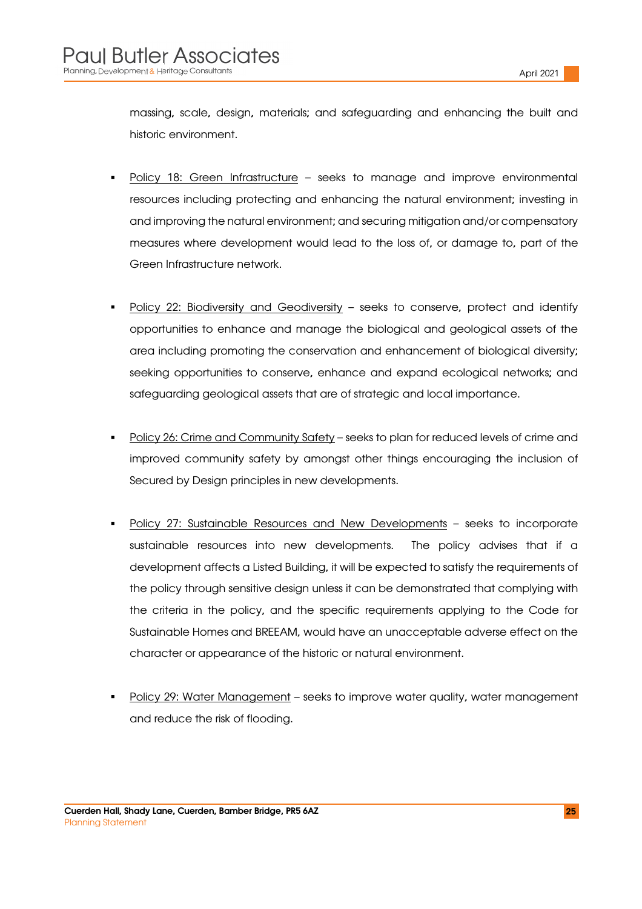massing, scale, design, materials; and safeguarding and enhancing the built and historic environment.

- Policy 18: Green Infrastructure seeks to manage and improve environmental resources including protecting and enhancing the natural environment; investing in and improving the natural environment; and securing mitigation and/or compensatory measures where development would lead to the loss of, or damage to, part of the Green Infrastructure network.
- Policy 22: Biodiversity and Geodiversity seeks to conserve, protect and identify opportunities to enhance and manage the biological and geological assets of the area including promoting the conservation and enhancement of biological diversity; seeking opportunities to conserve, enhance and expand ecological networks; and safeguarding geological assets that are of strategic and local importance.
- Policy 26: Crime and Community Safety seeks to plan for reduced levels of crime and improved community safety by amongst other things encouraging the inclusion of Secured by Design principles in new developments.
- Policy 27: Sustainable Resources and New Developments seeks to incorporate sustainable resources into new developments. The policy advises that if a development affects a Listed Building, it will be expected to satisfy the requirements of the policy through sensitive design unless it can be demonstrated that complying with the criteria in the policy, and the specific requirements applying to the Code for Sustainable Homes and BREEAM, would have an unacceptable adverse effect on the character or appearance of the historic or natural environment.
- Policy 29: Water Management seeks to improve water quality, water management and reduce the risk of flooding.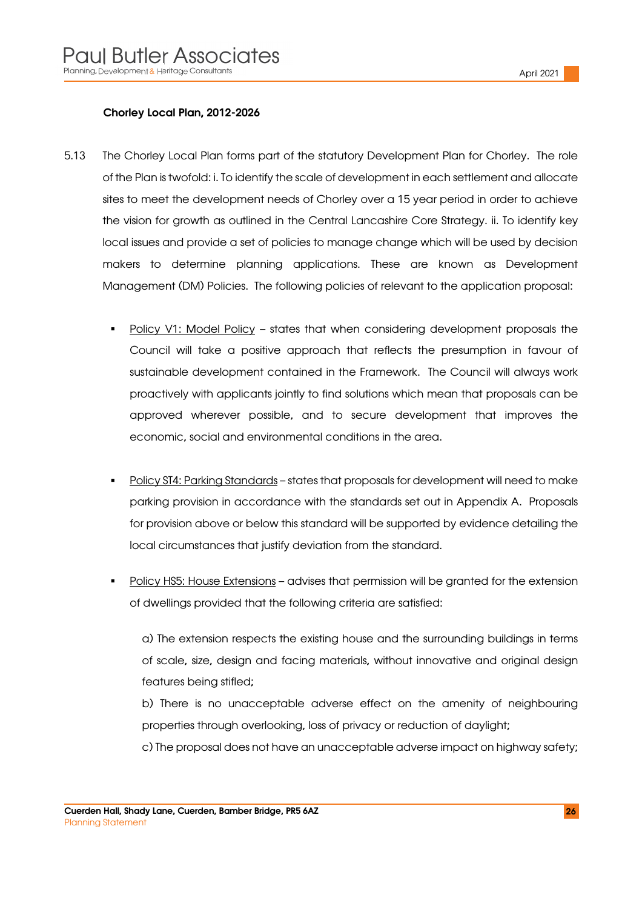#### Chorley Local Plan, 2012-2026

- 5.13 The Chorley Local Plan forms part of the statutory Development Plan for Chorley. The role of the Plan is twofold: i. To identify the scale of development in each settlement and allocate sites to meet the development needs of Chorley over a 15 year period in order to achieve the vision for growth as outlined in the Central Lancashire Core Strategy. ii. To identify key local issues and provide a set of policies to manage change which will be used by decision makers to determine planning applications. These are known as Development Management (DM) Policies. The following policies of relevant to the application proposal:
	- Policy V1: Model Policy states that when considering development proposals the Council will take a positive approach that reflects the presumption in favour of sustainable development contained in the Framework. The Council will always work proactively with applicants jointly to find solutions which mean that proposals can be approved wherever possible, and to secure development that improves the economic, social and environmental conditions in the area.
	- Policy ST4: Parking Standards states that proposals for development will need to make parking provision in accordance with the standards set out in Appendix A. Proposals for provision above or below this standard will be supported by evidence detailing the local circumstances that justify deviation from the standard.
	- Policy HS5: House Extensions advises that permission will be granted for the extension of dwellings provided that the following criteria are satisfied:

a) The extension respects the existing house and the surrounding buildings in terms of scale, size, design and facing materials, without innovative and original design features being stifled;

b) There is no unacceptable adverse effect on the amenity of neighbouring properties through overlooking, loss of privacy or reduction of daylight;

c) The proposal does not have an unacceptable adverse impact on highway safety;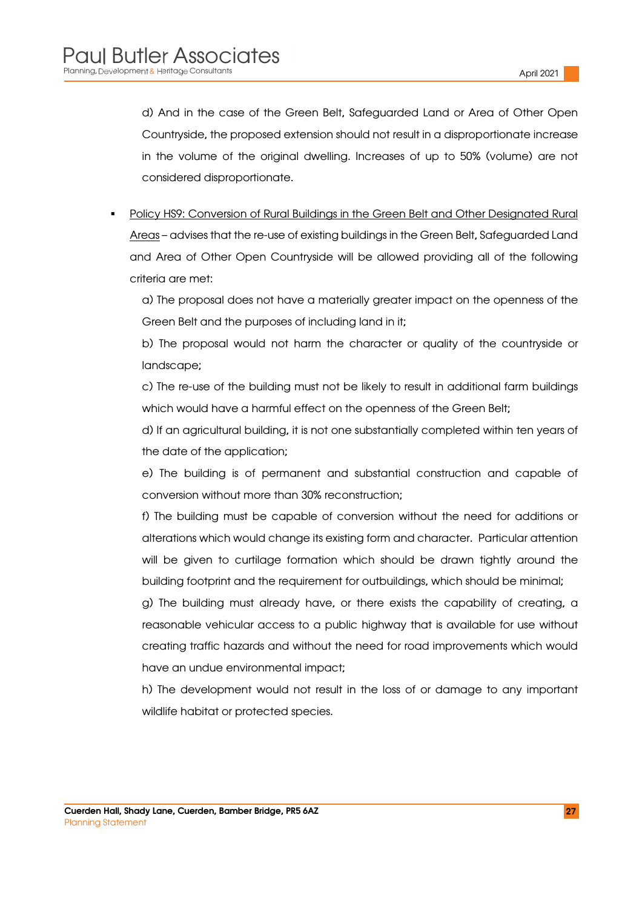d) And in the case of the Green Belt, Safeguarded Land or Area of Other Open Countryside, the proposed extension should not result in a disproportionate increase in the volume of the original dwelling. Increases of up to 50% (volume) are not considered disproportionate.

 Policy HS9: Conversion of Rural Buildings in the Green Belt and Other Designated Rural Areas – advises that the re-use of existing buildings in the Green Belt, Safeguarded Land and Area of Other Open Countryside will be allowed providing all of the following criteria are met:

a) The proposal does not have a materially greater impact on the openness of the Green Belt and the purposes of including land in it;

b) The proposal would not harm the character or quality of the countryside or landscape;

c) The re-use of the building must not be likely to result in additional farm buildings which would have a harmful effect on the openness of the Green Belt;

d) If an agricultural building, it is not one substantially completed within ten years of the date of the application;

e) The building is of permanent and substantial construction and capable of conversion without more than 30% reconstruction;

f) The building must be capable of conversion without the need for additions or alterations which would change its existing form and character. Particular attention will be given to curtilage formation which should be drawn tightly around the building footprint and the requirement for outbuildings, which should be minimal;

g) The building must already have, or there exists the capability of creating, a reasonable vehicular access to a public highway that is available for use without creating traffic hazards and without the need for road improvements which would have an undue environmental impact;

h) The development would not result in the loss of or damage to any important wildlife habitat or protected species.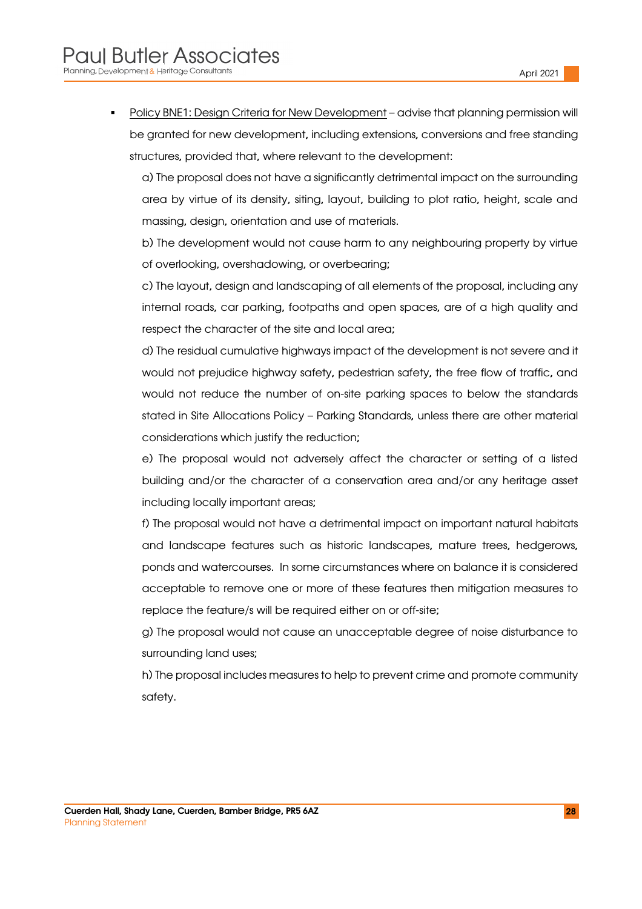Policy BNE1: Design Criteria for New Development – advise that planning permission will be granted for new development, including extensions, conversions and free standing structures, provided that, where relevant to the development:

a) The proposal does not have a significantly detrimental impact on the surrounding area by virtue of its density, siting, layout, building to plot ratio, height, scale and massing, design, orientation and use of materials.

b) The development would not cause harm to any neighbouring property by virtue of overlooking, overshadowing, or overbearing;

c) The layout, design and landscaping of all elements of the proposal, including any internal roads, car parking, footpaths and open spaces, are of a high quality and respect the character of the site and local area;

d) The residual cumulative highways impact of the development is not severe and it would not prejudice highway safety, pedestrian safety, the free flow of traffic, and would not reduce the number of on-site parking spaces to below the standards stated in Site Allocations Policy – Parking Standards, unless there are other material considerations which justify the reduction;

e) The proposal would not adversely affect the character or setting of a listed building and/or the character of a conservation area and/or any heritage asset including locally important areas;

f) The proposal would not have a detrimental impact on important natural habitats and landscape features such as historic landscapes, mature trees, hedgerows, ponds and watercourses. In some circumstances where on balance it is considered acceptable to remove one or more of these features then mitigation measures to replace the feature/s will be required either on or off-site;

g) The proposal would not cause an unacceptable degree of noise disturbance to surrounding land uses;

h) The proposal includes measures to help to prevent crime and promote community safety.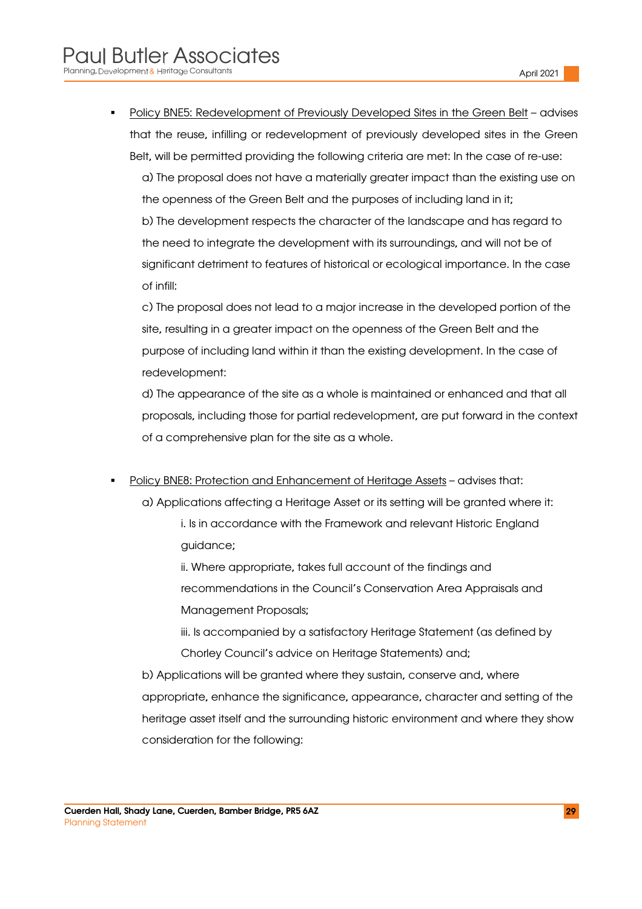Policy BNE5: Redevelopment of Previously Developed Sites in the Green Belt – advises that the reuse, infilling or redevelopment of previously developed sites in the Green Belt, will be permitted providing the following criteria are met: In the case of re-use:

a) The proposal does not have a materially greater impact than the existing use on the openness of the Green Belt and the purposes of including land in it; b) The development respects the character of the landscape and has regard to the need to integrate the development with its surroundings, and will not be of significant detriment to features of historical or ecological importance. In the case of infill:

c) The proposal does not lead to a major increase in the developed portion of the site, resulting in a greater impact on the openness of the Green Belt and the purpose of including land within it than the existing development. In the case of redevelopment:

d) The appearance of the site as a whole is maintained or enhanced and that all proposals, including those for partial redevelopment, are put forward in the context of a comprehensive plan for the site as a whole.

- Policy BNE8: Protection and Enhancement of Heritage Assets advises that:
	- a) Applications affecting a Heritage Asset or its setting will be granted where it:
		- i. Is in accordance with the Framework and relevant Historic England guidance;
		- ii. Where appropriate, takes full account of the findings and recommendations in the Council's Conservation Area Appraisals and Management Proposals;
		- iii. Is accompanied by a satisfactory Heritage Statement (as defined by Chorley Council's advice on Heritage Statements) and;
	- b) Applications will be granted where they sustain, conserve and, where appropriate, enhance the significance, appearance, character and setting of the heritage asset itself and the surrounding historic environment and where they show consideration for the following: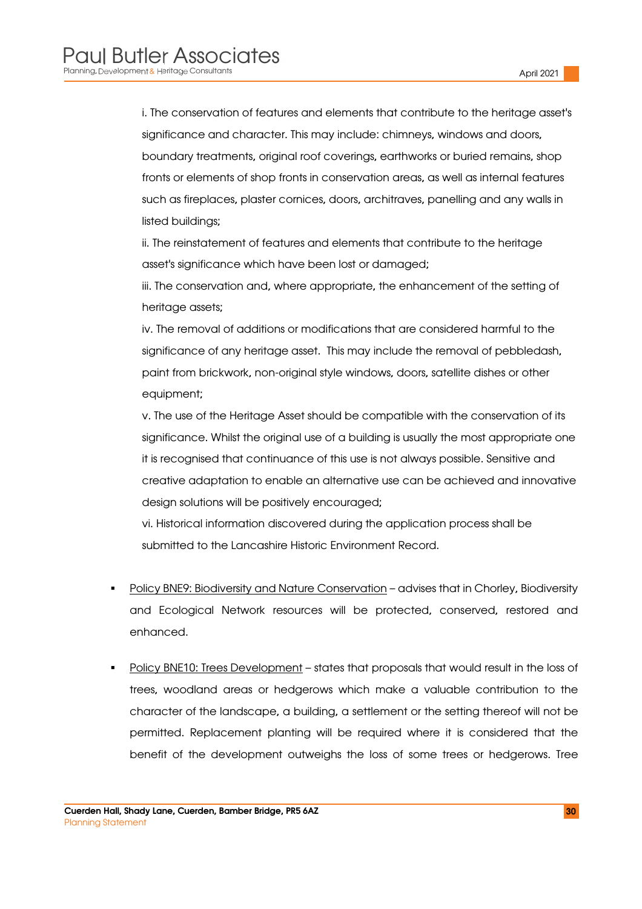i. The conservation of features and elements that contribute to the heritage asset's significance and character. This may include: chimneys, windows and doors, boundary treatments, original roof coverings, earthworks or buried remains, shop fronts or elements of shop fronts in conservation areas, as well as internal features such as fireplaces, plaster cornices, doors, architraves, panelling and any walls in listed buildings;

ii. The reinstatement of features and elements that contribute to the heritage asset's significance which have been lost or damaged;

iii. The conservation and, where appropriate, the enhancement of the setting of heritage assets;

iv. The removal of additions or modifications that are considered harmful to the significance of any heritage asset. This may include the removal of pebbledash, paint from brickwork, non-original style windows, doors, satellite dishes or other equipment;

v. The use of the Heritage Asset should be compatible with the conservation of its significance. Whilst the original use of a building is usually the most appropriate one it is recognised that continuance of this use is not always possible. Sensitive and creative adaptation to enable an alternative use can be achieved and innovative design solutions will be positively encouraged;

vi. Historical information discovered during the application process shall be submitted to the Lancashire Historic Environment Record.

- Policy BNE9: Biodiversity and Nature Conservation advises that in Chorley, Biodiversity and Ecological Network resources will be protected, conserved, restored and enhanced.
- Policy BNE10: Trees Development states that proposals that would result in the loss of trees, woodland areas or hedgerows which make a valuable contribution to the character of the landscape, a building, a settlement or the setting thereof will not be permitted. Replacement planting will be required where it is considered that the benefit of the development outweighs the loss of some trees or hedgerows. Tree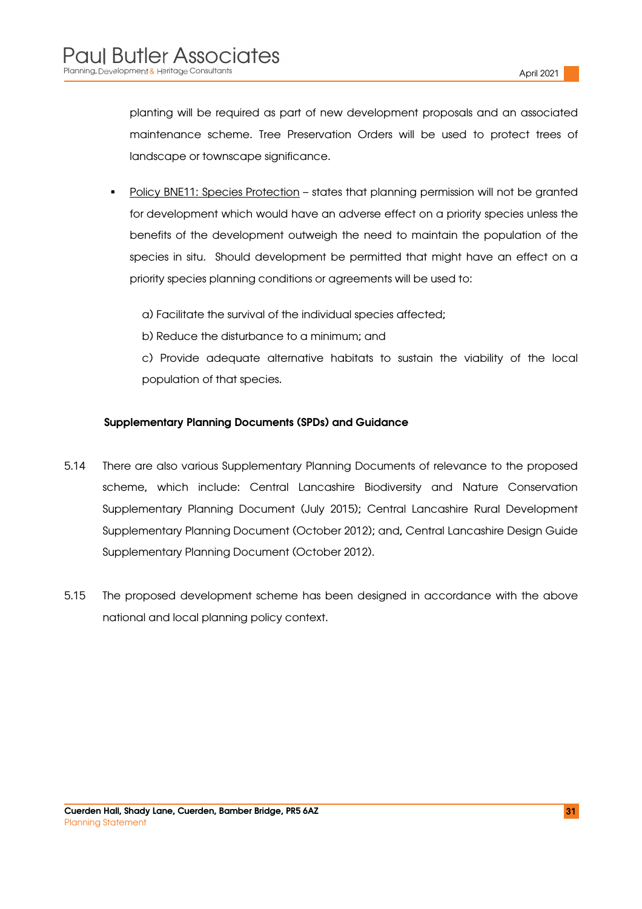planting will be required as part of new development proposals and an associated maintenance scheme. Tree Preservation Orders will be used to protect trees of landscape or townscape significance.

- Policy BNE11: Species Protection states that planning permission will not be granted for development which would have an adverse effect on a priority species unless the benefits of the development outweigh the need to maintain the population of the species in situ. Should development be permitted that might have an effect on a priority species planning conditions or agreements will be used to:
	- a) Facilitate the survival of the individual species affected;
	- b) Reduce the disturbance to a minimum; and
	- c) Provide adequate alternative habitats to sustain the viability of the local population of that species.

#### Supplementary Planning Documents (SPDs) and Guidance

- 5.14 There are also various Supplementary Planning Documents of relevance to the proposed scheme, which include: Central Lancashire Biodiversity and Nature Conservation Supplementary Planning Document (July 2015); Central Lancashire Rural Development Supplementary Planning Document (October 2012); and, Central Lancashire Design Guide Supplementary Planning Document (October 2012).
- 5.15 The proposed development scheme has been designed in accordance with the above national and local planning policy context.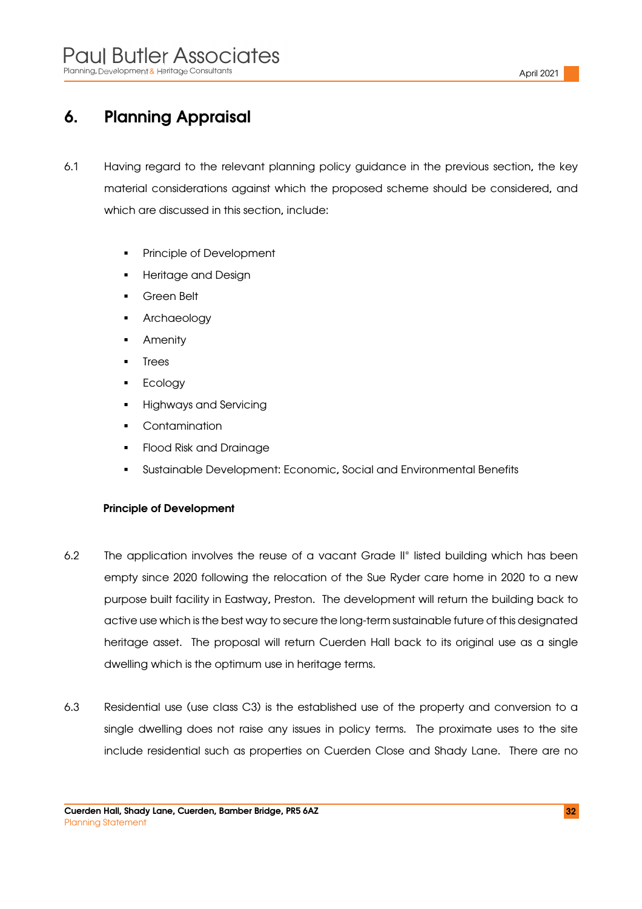# 6. Planning Appraisal

- 6.1 Having regard to the relevant planning policy guidance in the previous section, the key material considerations against which the proposed scheme should be considered, and which are discussed in this section, include:
	- **Principle of Development**
	- Heritage and Design
	- Green Belt
	- Archaeology
	- Amenity
	- Trees
	- **Ecology**
	- Highways and Servicing
	- **Contamination**
	- Flood Risk and Drainage
	- Sustainable Development: Economic, Social and Environmental Benefits

#### Principle of Development

- 6.2 The application involves the reuse of a vacant Grade II\* listed building which has been empty since 2020 following the relocation of the Sue Ryder care home in 2020 to a new purpose built facility in Eastway, Preston. The development will return the building back to active use which is the best way to secure the long-term sustainable future of this designated heritage asset. The proposal will return Cuerden Hall back to its original use as a single dwelling which is the optimum use in heritage terms.
- 6.3 Residential use (use class C3) is the established use of the property and conversion to a single dwelling does not raise any issues in policy terms. The proximate uses to the site include residential such as properties on Cuerden Close and Shady Lane. There are no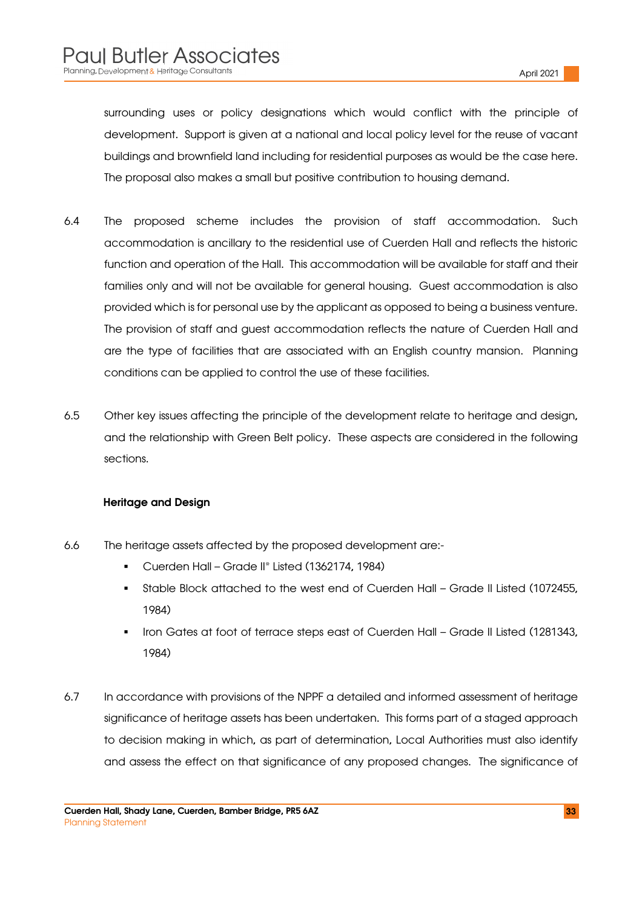surrounding uses or policy designations which would conflict with the principle of development. Support is given at a national and local policy level for the reuse of vacant buildings and brownfield land including for residential purposes as would be the case here. The proposal also makes a small but positive contribution to housing demand.

- 6.4 The proposed scheme includes the provision of staff accommodation. Such accommodation is ancillary to the residential use of Cuerden Hall and reflects the historic function and operation of the Hall. This accommodation will be available for staff and their families only and will not be available for general housing. Guest accommodation is also provided which is for personal use by the applicant as opposed to being a business venture. The provision of staff and guest accommodation reflects the nature of Cuerden Hall and are the type of facilities that are associated with an English country mansion. Planning conditions can be applied to control the use of these facilities.
- 6.5 Other key issues affecting the principle of the development relate to heritage and design, and the relationship with Green Belt policy. These aspects are considered in the following sections.

#### Heritage and Design

- 6.6 The heritage assets affected by the proposed development are:-
	- Cuerden Hall Grade II\* Listed (1362174, 1984)
	- Stable Block attached to the west end of Cuerden Hall Grade II Listed (1072455, 1984)
	- Iron Gates at foot of terrace steps east of Cuerden Hall Grade II Listed (1281343, 1984)
- 6.7 In accordance with provisions of the NPPF a detailed and informed assessment of heritage significance of heritage assets has been undertaken. This forms part of a staged approach to decision making in which, as part of determination, Local Authorities must also identify and assess the effect on that significance of any proposed changes. The significance of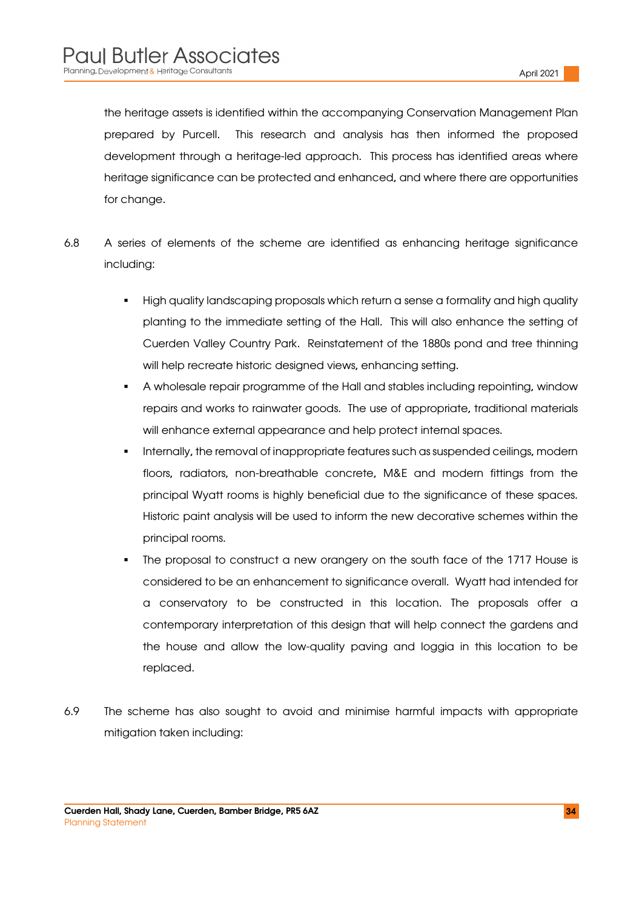the heritage assets is identified within the accompanying Conservation Management Plan prepared by Purcell. This research and analysis has then informed the proposed development through a heritage-led approach. This process has identified areas where heritage significance can be protected and enhanced, and where there are opportunities for change.

- 6.8 A series of elements of the scheme are identified as enhancing heritage significance including:
	- High quality landscaping proposals which return a sense a formality and high quality planting to the immediate setting of the Hall. This will also enhance the setting of Cuerden Valley Country Park. Reinstatement of the 1880s pond and tree thinning will help recreate historic designed views, enhancing setting.
	- A wholesale repair programme of the Hall and stables including repointing, window repairs and works to rainwater goods. The use of appropriate, traditional materials will enhance external appearance and help protect internal spaces.
	- Internally, the removal of inappropriate features such as suspended ceilings, modern floors, radiators, non-breathable concrete, M&E and modern fittings from the principal Wyatt rooms is highly beneficial due to the significance of these spaces. Historic paint analysis will be used to inform the new decorative schemes within the principal rooms.
	- The proposal to construct a new orangery on the south face of the 1717 House is considered to be an enhancement to significance overall. Wyatt had intended for a conservatory to be constructed in this location. The proposals offer a contemporary interpretation of this design that will help connect the gardens and the house and allow the low-quality paving and loggia in this location to be replaced.
- 6.9 The scheme has also sought to avoid and minimise harmful impacts with appropriate mitigation taken including: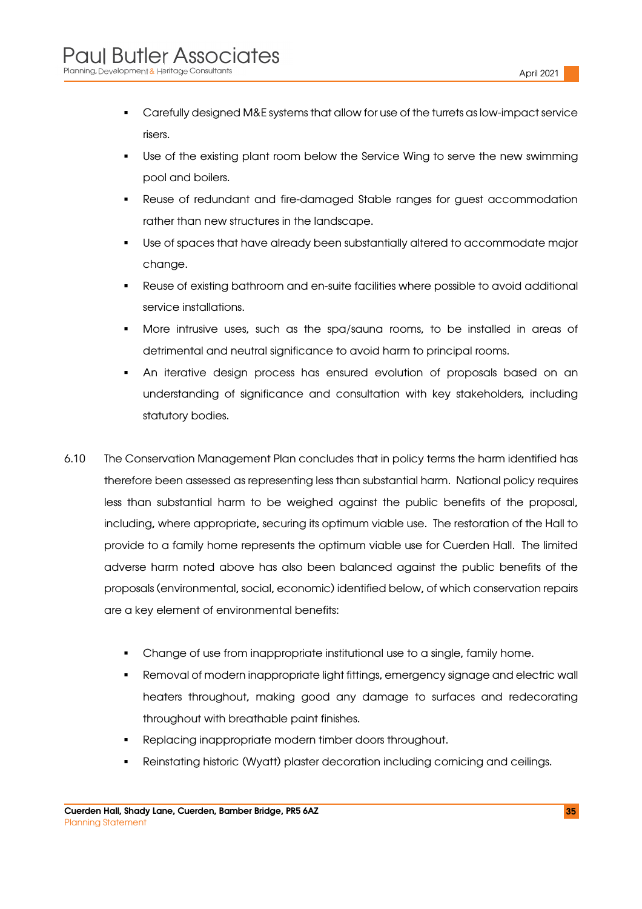- Carefully designed M&E systems that allow for use of the turrets as low-impact service risers.
- Use of the existing plant room below the Service Wing to serve the new swimming pool and boilers.
- Reuse of redundant and fire-damaged Stable ranges for guest accommodation rather than new structures in the landscape.
- Use of spaces that have already been substantially altered to accommodate major change.
- Reuse of existing bathroom and en-suite facilities where possible to avoid additional service installations.
- More intrusive uses, such as the spa/sauna rooms, to be installed in areas of detrimental and neutral significance to avoid harm to principal rooms.
- An iterative design process has ensured evolution of proposals based on an understanding of significance and consultation with key stakeholders, including statutory bodies.
- 6.10 The Conservation Management Plan concludes that in policy terms the harm identified has therefore been assessed as representing less than substantial harm. National policy requires less than substantial harm to be weighed against the public benefits of the proposal, including, where appropriate, securing its optimum viable use. The restoration of the Hall to provide to a family home represents the optimum viable use for Cuerden Hall. The limited adverse harm noted above has also been balanced against the public benefits of the proposals (environmental, social, economic) identified below, of which conservation repairs are a key element of environmental benefits:
	- Change of use from inappropriate institutional use to a single, family home.
	- Removal of modern inappropriate light fittings, emergency signage and electric wall heaters throughout, making good any damage to surfaces and redecorating throughout with breathable paint finishes.
	- Replacing inappropriate modern timber doors throughout.
	- Reinstating historic (Wyatt) plaster decoration including cornicing and ceilings.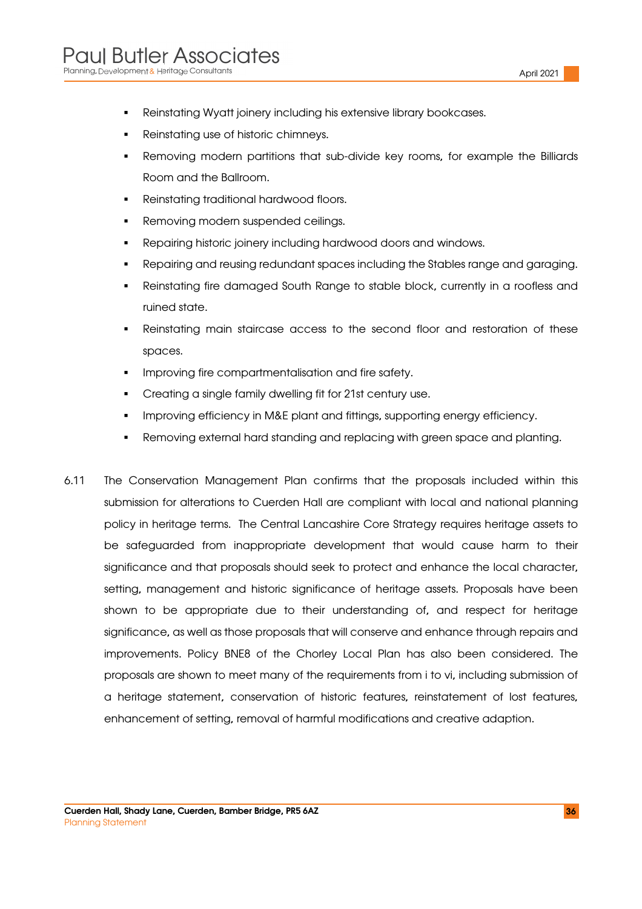- Reinstating Wyatt joinery including his extensive library bookcases.
- Reinstating use of historic chimneys.
- Removing modern partitions that sub-divide key rooms, for example the Billiards Room and the Ballroom.
- **Reinstating traditional hardwood floors.**
- Removing modern suspended ceilings.
- Repairing historic joinery including hardwood doors and windows.
- Repairing and reusing redundant spaces including the Stables range and garaging.
- Reinstating fire damaged South Range to stable block, currently in a roofless and ruined state.
- Reinstating main staircase access to the second floor and restoration of these spaces.
- Improving fire compartmentalisation and fire safety.
- Creating a single family dwelling fit for 21st century use.
- Improving efficiency in M&E plant and fittings, supporting energy efficiency.
- Removing external hard standing and replacing with green space and planting.
- 6.11 The Conservation Management Plan confirms that the proposals included within this submission for alterations to Cuerden Hall are compliant with local and national planning policy in heritage terms. The Central Lancashire Core Strategy requires heritage assets to be safeguarded from inappropriate development that would cause harm to their significance and that proposals should seek to protect and enhance the local character, setting, management and historic significance of heritage assets. Proposals have been shown to be appropriate due to their understanding of, and respect for heritage significance, as well as those proposals that will conserve and enhance through repairs and improvements. Policy BNE8 of the Chorley Local Plan has also been considered. The proposals are shown to meet many of the requirements from i to vi, including submission of a heritage statement, conservation of historic features, reinstatement of lost features, enhancement of setting, removal of harmful modifications and creative adaption.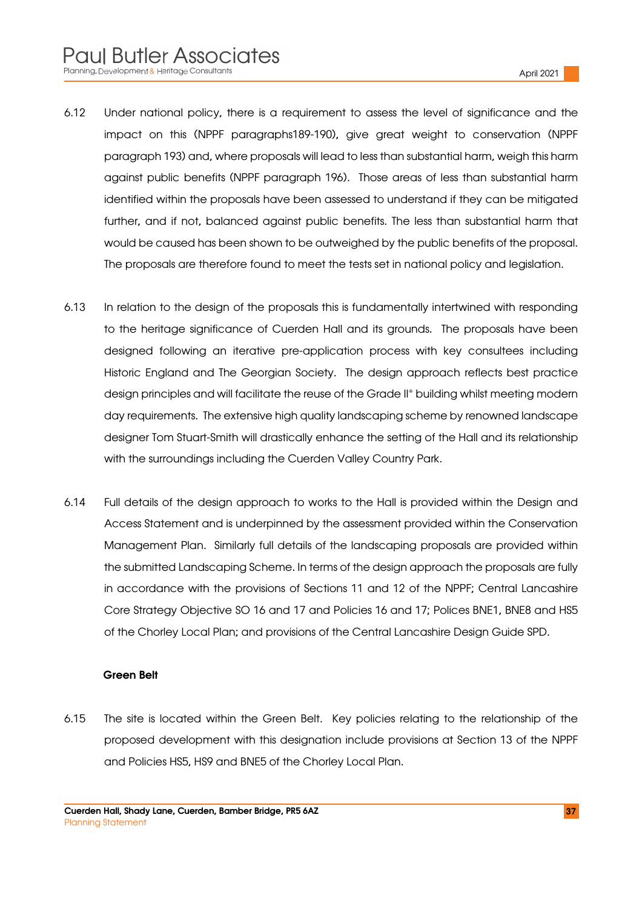- 6.12 Under national policy, there is a requirement to assess the level of significance and the impact on this (NPPF paragraphs189-190), give great weight to conservation (NPPF paragraph 193) and, where proposals will lead to less than substantial harm, weigh this harm against public benefits (NPPF paragraph 196). Those areas of less than substantial harm identified within the proposals have been assessed to understand if they can be mitigated further, and if not, balanced against public benefits. The less than substantial harm that would be caused has been shown to be outweighed by the public benefits of the proposal. The proposals are therefore found to meet the tests set in national policy and legislation.
- 6.13 In relation to the design of the proposals this is fundamentally intertwined with responding to the heritage significance of Cuerden Hall and its grounds. The proposals have been designed following an iterative pre-application process with key consultees including Historic England and The Georgian Society. The design approach reflects best practice design principles and will facilitate the reuse of the Grade II\* building whilst meeting modern day requirements. The extensive high quality landscaping scheme by renowned landscape designer Tom Stuart-Smith will drastically enhance the setting of the Hall and its relationship with the surroundings including the Cuerden Valley Country Park.
- 6.14 Full details of the design approach to works to the Hall is provided within the Design and Access Statement and is underpinned by the assessment provided within the Conservation Management Plan. Similarly full details of the landscaping proposals are provided within the submitted Landscaping Scheme. In terms of the design approach the proposals are fully in accordance with the provisions of Sections 11 and 12 of the NPPF; Central Lancashire Core Strategy Objective SO 16 and 17 and Policies 16 and 17; Polices BNE1, BNE8 and HS5 of the Chorley Local Plan; and provisions of the Central Lancashire Design Guide SPD.

#### Green Belt

6.15 The site is located within the Green Belt. Key policies relating to the relationship of the proposed development with this designation include provisions at Section 13 of the NPPF and Policies HS5, HS9 and BNE5 of the Chorley Local Plan.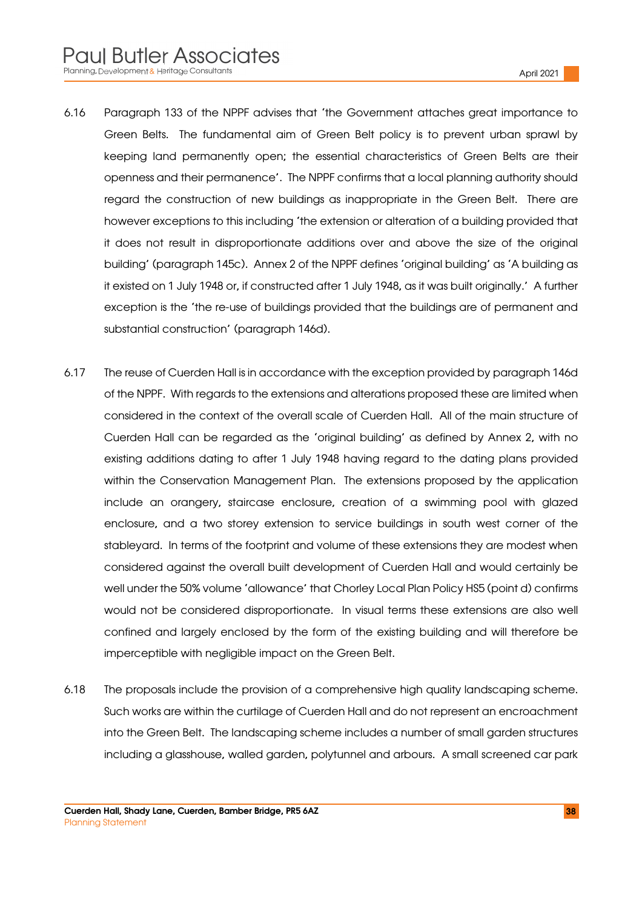- 6.16 Paragraph 133 of the NPPF advises that 'the Government attaches great importance to Green Belts. The fundamental aim of Green Belt policy is to prevent urban sprawl by keeping land permanently open; the essential characteristics of Green Belts are their openness and their permanence'. The NPPF confirms that a local planning authority should regard the construction of new buildings as inappropriate in the Green Belt. There are however exceptions to this including 'the extension or alteration of a building provided that it does not result in disproportionate additions over and above the size of the original building' (paragraph 145c). Annex 2 of the NPPF defines 'original building' as 'A building as it existed on 1 July 1948 or, if constructed after 1 July 1948, as it was built originally.' A further exception is the 'the re-use of buildings provided that the buildings are of permanent and substantial construction' (paragraph 146d).
- 6.17 The reuse of Cuerden Hall is in accordance with the exception provided by paragraph 146d of the NPPF. With regards to the extensions and alterations proposed these are limited when considered in the context of the overall scale of Cuerden Hall. All of the main structure of Cuerden Hall can be regarded as the 'original building' as defined by Annex 2, with no existing additions dating to after 1 July 1948 having regard to the dating plans provided within the Conservation Management Plan. The extensions proposed by the application include an orangery, staircase enclosure, creation of a swimming pool with glazed enclosure, and a two storey extension to service buildings in south west corner of the stableyard. In terms of the footprint and volume of these extensions they are modest when considered against the overall built development of Cuerden Hall and would certainly be well under the 50% volume 'allowance' that Chorley Local Plan Policy HS5 (point d) confirms would not be considered disproportionate. In visual terms these extensions are also well confined and largely enclosed by the form of the existing building and will therefore be imperceptible with negligible impact on the Green Belt.
- 6.18 The proposals include the provision of a comprehensive high quality landscaping scheme. Such works are within the curtilage of Cuerden Hall and do not represent an encroachment into the Green Belt. The landscaping scheme includes a number of small garden structures including a glasshouse, walled garden, polytunnel and arbours. A small screened car park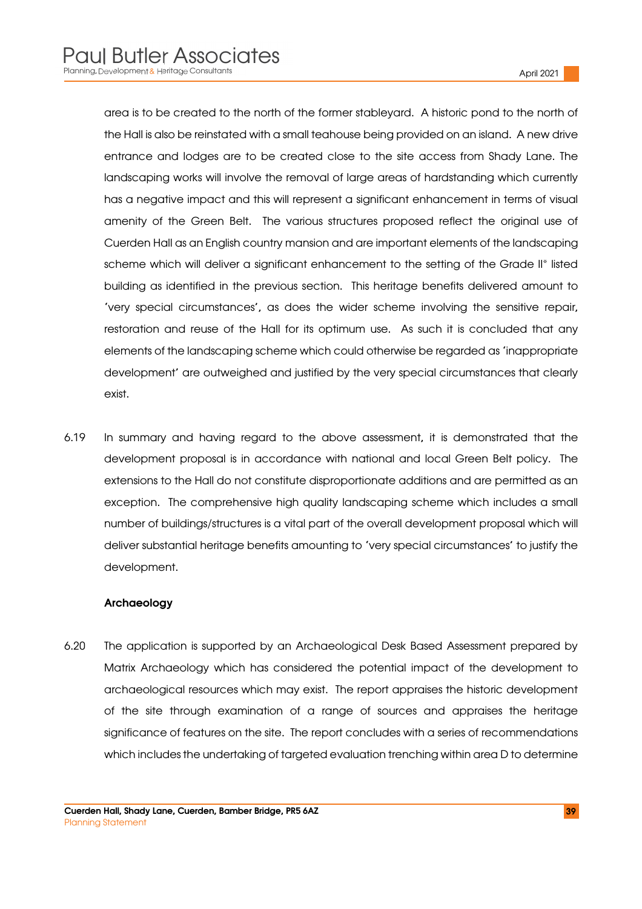area is to be created to the north of the former stableyard. A historic pond to the north of the Hall is also be reinstated with a small teahouse being provided on an island. A new drive entrance and lodges are to be created close to the site access from Shady Lane. The landscaping works will involve the removal of large areas of hardstanding which currently has a negative impact and this will represent a significant enhancement in terms of visual amenity of the Green Belt. The various structures proposed reflect the original use of Cuerden Hall as an English country mansion and are important elements of the landscaping scheme which will deliver a significant enhancement to the setting of the Grade II\* listed building as identified in the previous section. This heritage benefits delivered amount to 'very special circumstances', as does the wider scheme involving the sensitive repair, restoration and reuse of the Hall for its optimum use. As such it is concluded that any elements of the landscaping scheme which could otherwise be regarded as 'inappropriate development' are outweighed and justified by the very special circumstances that clearly exist.

6.19 In summary and having regard to the above assessment, it is demonstrated that the development proposal is in accordance with national and local Green Belt policy. The extensions to the Hall do not constitute disproportionate additions and are permitted as an exception. The comprehensive high quality landscaping scheme which includes a small number of buildings/structures is a vital part of the overall development proposal which will deliver substantial heritage benefits amounting to 'very special circumstances' to justify the development.

#### Archaeology

6.20 The application is supported by an Archaeological Desk Based Assessment prepared by Matrix Archaeology which has considered the potential impact of the development to archaeological resources which may exist. The report appraises the historic development of the site through examination of a range of sources and appraises the heritage significance of features on the site. The report concludes with a series of recommendations which includes the undertaking of targeted evaluation trenching within area D to determine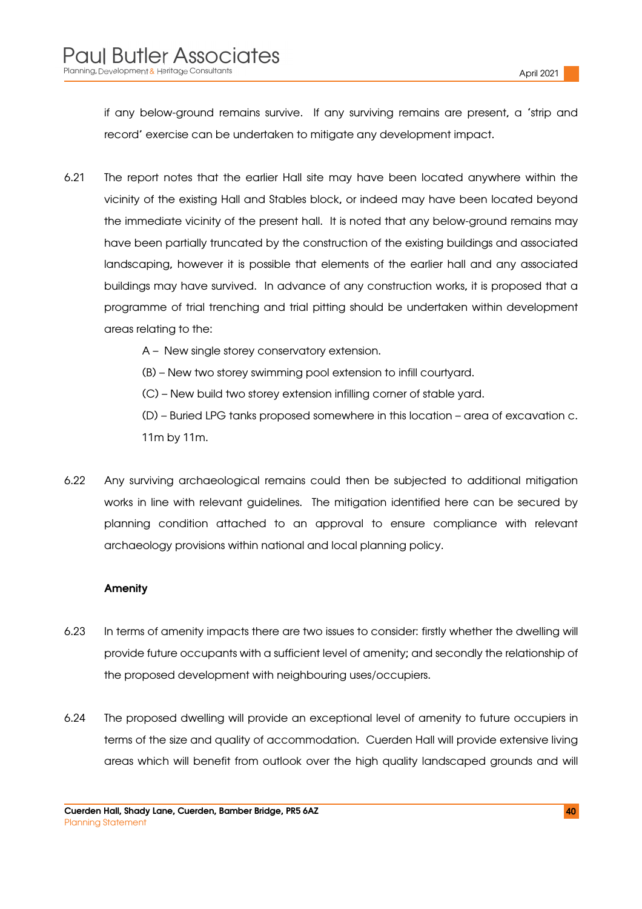if any below-ground remains survive. If any surviving remains are present, a 'strip and record' exercise can be undertaken to mitigate any development impact.

6.21 The report notes that the earlier Hall site may have been located anywhere within the vicinity of the existing Hall and Stables block, or indeed may have been located beyond the immediate vicinity of the present hall. It is noted that any below-ground remains may have been partially truncated by the construction of the existing buildings and associated landscaping, however it is possible that elements of the earlier hall and any associated buildings may have survived. In advance of any construction works, it is proposed that a programme of trial trenching and trial pitting should be undertaken within development areas relating to the:

A – New single storey conservatory extension.

(B) – New two storey swimming pool extension to infill courtyard.

(C) – New build two storey extension infilling corner of stable yard.

(D) – Buried LPG tanks proposed somewhere in this location – area of excavation c. 11m by 11m.

6.22 Any surviving archaeological remains could then be subjected to additional mitigation works in line with relevant guidelines. The mitigation identified here can be secured by planning condition attached to an approval to ensure compliance with relevant archaeology provisions within national and local planning policy.

#### Amenity

- 6.23 In terms of amenity impacts there are two issues to consider: firstly whether the dwelling will provide future occupants with a sufficient level of amenity; and secondly the relationship of the proposed development with neighbouring uses/occupiers.
- 6.24 The proposed dwelling will provide an exceptional level of amenity to future occupiers in terms of the size and quality of accommodation. Cuerden Hall will provide extensive living areas which will benefit from outlook over the high quality landscaped grounds and will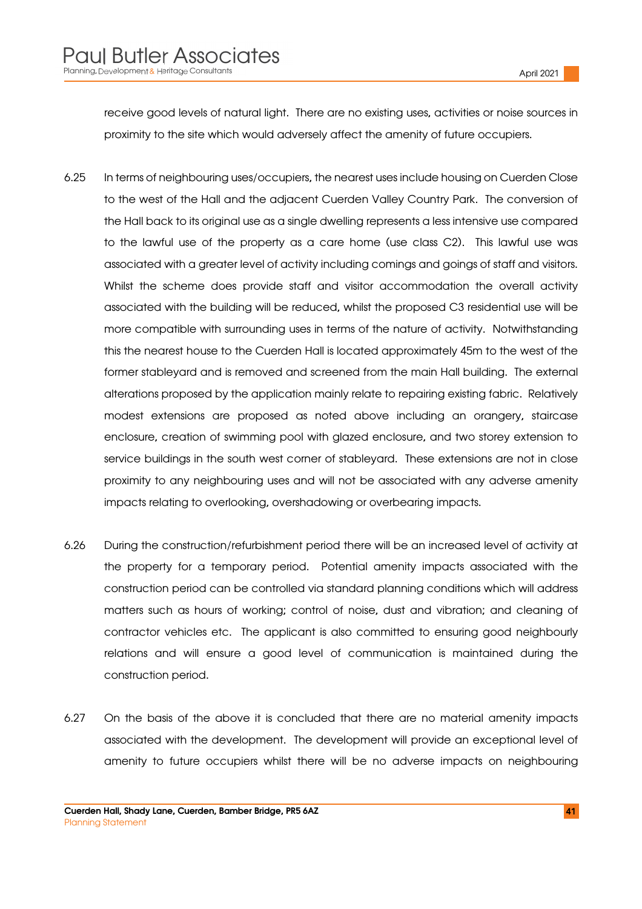receive good levels of natural light. There are no existing uses, activities or noise sources in proximity to the site which would adversely affect the amenity of future occupiers.

- 6.25 In terms of neighbouring uses/occupiers, the nearest uses include housing on Cuerden Close to the west of the Hall and the adjacent Cuerden Valley Country Park. The conversion of the Hall back to its original use as a single dwelling represents a less intensive use compared to the lawful use of the property as a care home (use class C2). This lawful use was associated with a greater level of activity including comings and goings of staff and visitors. Whilst the scheme does provide staff and visitor accommodation the overall activity associated with the building will be reduced, whilst the proposed C3 residential use will be more compatible with surrounding uses in terms of the nature of activity. Notwithstanding this the nearest house to the Cuerden Hall is located approximately 45m to the west of the former stableyard and is removed and screened from the main Hall building. The external alterations proposed by the application mainly relate to repairing existing fabric. Relatively modest extensions are proposed as noted above including an orangery, staircase enclosure, creation of swimming pool with glazed enclosure, and two storey extension to service buildings in the south west corner of stableyard. These extensions are not in close proximity to any neighbouring uses and will not be associated with any adverse amenity impacts relating to overlooking, overshadowing or overbearing impacts.
- 6.26 During the construction/refurbishment period there will be an increased level of activity at the property for a temporary period. Potential amenity impacts associated with the construction period can be controlled via standard planning conditions which will address matters such as hours of working; control of noise, dust and vibration; and cleaning of contractor vehicles etc. The applicant is also committed to ensuring good neighbourly relations and will ensure a good level of communication is maintained during the construction period.
- 6.27 On the basis of the above it is concluded that there are no material amenity impacts associated with the development. The development will provide an exceptional level of amenity to future occupiers whilst there will be no adverse impacts on neighbouring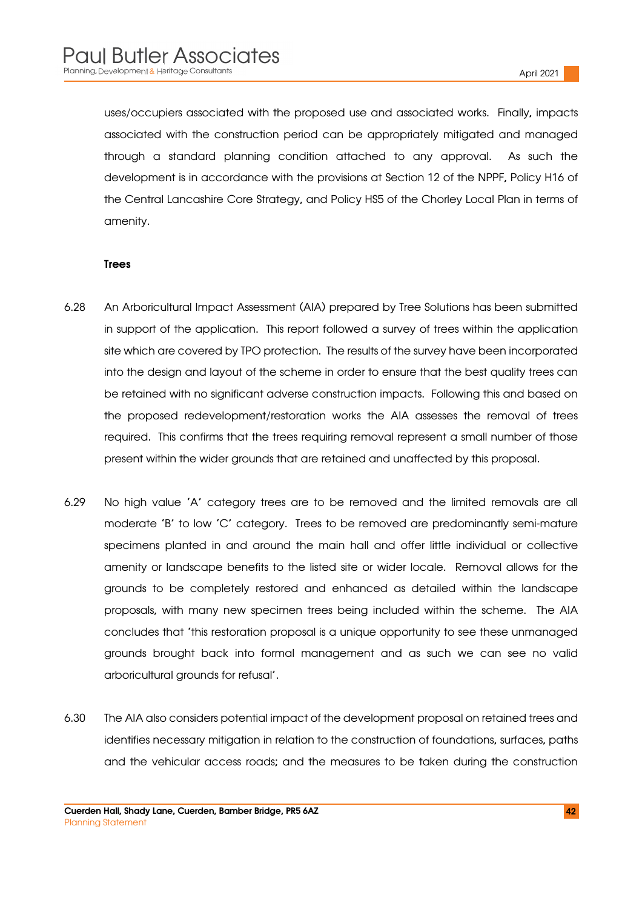uses/occupiers associated with the proposed use and associated works. Finally, impacts associated with the construction period can be appropriately mitigated and managed through a standard planning condition attached to any approval. As such the development is in accordance with the provisions at Section 12 of the NPPF, Policy H16 of the Central Lancashire Core Strategy, and Policy HS5 of the Chorley Local Plan in terms of amenity.

#### Trees

- 6.28 An Arboricultural Impact Assessment (AIA) prepared by Tree Solutions has been submitted in support of the application. This report followed a survey of trees within the application site which are covered by TPO protection. The results of the survey have been incorporated into the design and layout of the scheme in order to ensure that the best quality trees can be retained with no significant adverse construction impacts. Following this and based on the proposed redevelopment/restoration works the AIA assesses the removal of trees required. This confirms that the trees requiring removal represent a small number of those present within the wider grounds that are retained and unaffected by this proposal.
- 6.29 No high value 'A' category trees are to be removed and the limited removals are all moderate 'B' to low 'C' category. Trees to be removed are predominantly semi-mature specimens planted in and around the main hall and offer little individual or collective amenity or landscape benefits to the listed site or wider locale. Removal allows for the grounds to be completely restored and enhanced as detailed within the landscape proposals, with many new specimen trees being included within the scheme. The AIA concludes that 'this restoration proposal is a unique opportunity to see these unmanaged grounds brought back into formal management and as such we can see no valid arboricultural grounds for refusal'.
- 6.30 The AIA also considers potential impact of the development proposal on retained trees and identifies necessary mitigation in relation to the construction of foundations, surfaces, paths and the vehicular access roads; and the measures to be taken during the construction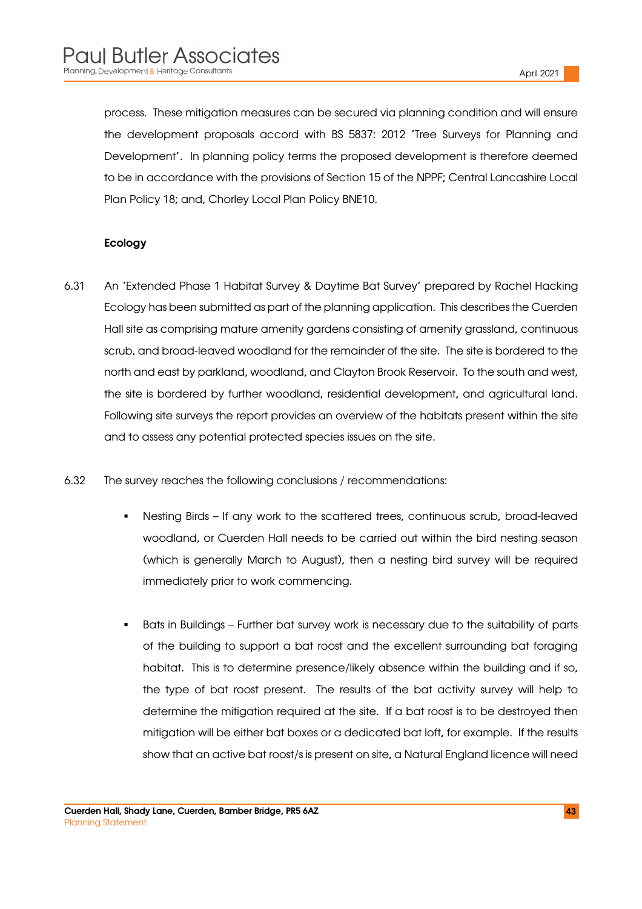process. These mitigation measures can be secured via planning condition and will ensure the development proposals accord with BS 5837: 2012 'Tree Surveys for Planning and Development'. In planning policy terms the proposed development is therefore deemed to be in accordance with the provisions of Section 15 of the NPPF; Central Lancashire Local Plan Policy 18; and, Chorley Local Plan Policy BNE10.

#### Ecology

- 6.31 An 'Extended Phase 1 Habitat Survey & Daytime Bat Survey' prepared by Rachel Hacking Ecology has been submitted as part of the planning application. This describes the Cuerden Hall site as comprising mature amenity gardens consisting of amenity grassland, continuous scrub, and broad-leaved woodland for the remainder of the site. The site is bordered to the north and east by parkland, woodland, and Clayton Brook Reservoir. To the south and west, the site is bordered by further woodland, residential development, and agricultural land. Following site surveys the report provides an overview of the habitats present within the site and to assess any potential protected species issues on the site.
- 6.32 The survey reaches the following conclusions / recommendations:
	- Nesting Birds If any work to the scattered trees, continuous scrub, broad-leaved woodland, or Cuerden Hall needs to be carried out within the bird nesting season (which is generally March to August), then a nesting bird survey will be required immediately prior to work commencing.
	- Bats in Buildings Further bat survey work is necessary due to the suitability of parts of the building to support a bat roost and the excellent surrounding bat foraging habitat. This is to determine presence/likely absence within the building and if so, the type of bat roost present. The results of the bat activity survey will help to determine the mitigation required at the site. If a bat roost is to be destroyed then mitigation will be either bat boxes or a dedicated bat loft, for example. If the results show that an active bat roost/s is present on site, a Natural England licence will need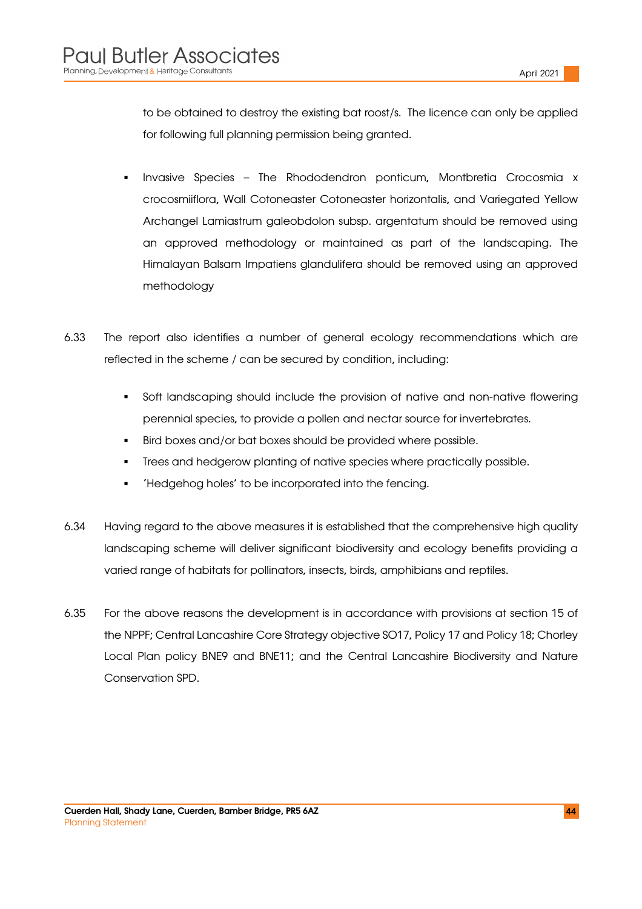to be obtained to destroy the existing bat roost/s. The licence can only be applied for following full planning permission being granted.

- Invasive Species The Rhododendron ponticum, Montbretia Crocosmia x crocosmiiflora, Wall Cotoneaster Cotoneaster horizontalis, and Variegated Yellow Archangel Lamiastrum galeobdolon subsp. argentatum should be removed using an approved methodology or maintained as part of the landscaping. The Himalayan Balsam Impatiens glandulifera should be removed using an approved methodology
- 6.33 The report also identifies a number of general ecology recommendations which are reflected in the scheme / can be secured by condition, including:
	- Soft landscaping should include the provision of native and non-native flowering perennial species, to provide a pollen and nectar source for invertebrates.
	- **Bird boxes and/or bat boxes should be provided where possible.**
	- Trees and hedgerow planting of native species where practically possible.
	- 'Hedgehog holes' to be incorporated into the fencing.
- 6.34 Having regard to the above measures it is established that the comprehensive high quality landscaping scheme will deliver significant biodiversity and ecology benefits providing a varied range of habitats for pollinators, insects, birds, amphibians and reptiles.
- 6.35 For the above reasons the development is in accordance with provisions at section 15 of the NPPF; Central Lancashire Core Strategy objective SO17, Policy 17 and Policy 18; Chorley Local Plan policy BNE9 and BNE11; and the Central Lancashire Biodiversity and Nature Conservation SPD.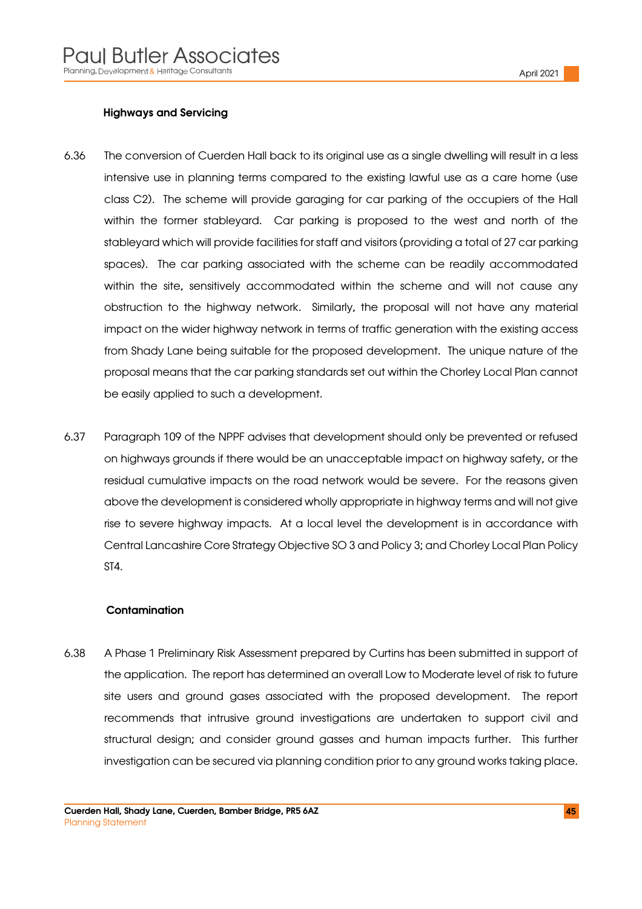#### Highways and Servicing

- 6.36 The conversion of Cuerden Hall back to its original use as a single dwelling will result in a less intensive use in planning terms compared to the existing lawful use as a care home (use class C2). The scheme will provide garaging for car parking of the occupiers of the Hall within the former stableyard. Car parking is proposed to the west and north of the stableyard which will provide facilities for staff and visitors (providing a total of 27 car parking spaces). The car parking associated with the scheme can be readily accommodated within the site, sensitively accommodated within the scheme and will not cause any obstruction to the highway network. Similarly, the proposal will not have any material impact on the wider highway network in terms of traffic generation with the existing access from Shady Lane being suitable for the proposed development. The unique nature of the proposal means that the car parking standards set out within the Chorley Local Plan cannot be easily applied to such a development.
- 6.37 Paragraph 109 of the NPPF advises that development should only be prevented or refused on highways grounds if there would be an unacceptable impact on highway safety, or the residual cumulative impacts on the road network would be severe. For the reasons given above the development is considered wholly appropriate in highway terms and will not give rise to severe highway impacts. At a local level the development is in accordance with Central Lancashire Core Strategy Objective SO 3 and Policy 3; and Chorley Local Plan Policy ST4.

#### **Contamination**

6.38 A Phase 1 Preliminary Risk Assessment prepared by Curtins has been submitted in support of the application. The report has determined an overall Low to Moderate level of risk to future site users and ground gases associated with the proposed development. The report recommends that intrusive ground investigations are undertaken to support civil and structural design; and consider ground gasses and human impacts further. This further investigation can be secured via planning condition prior to any ground works taking place.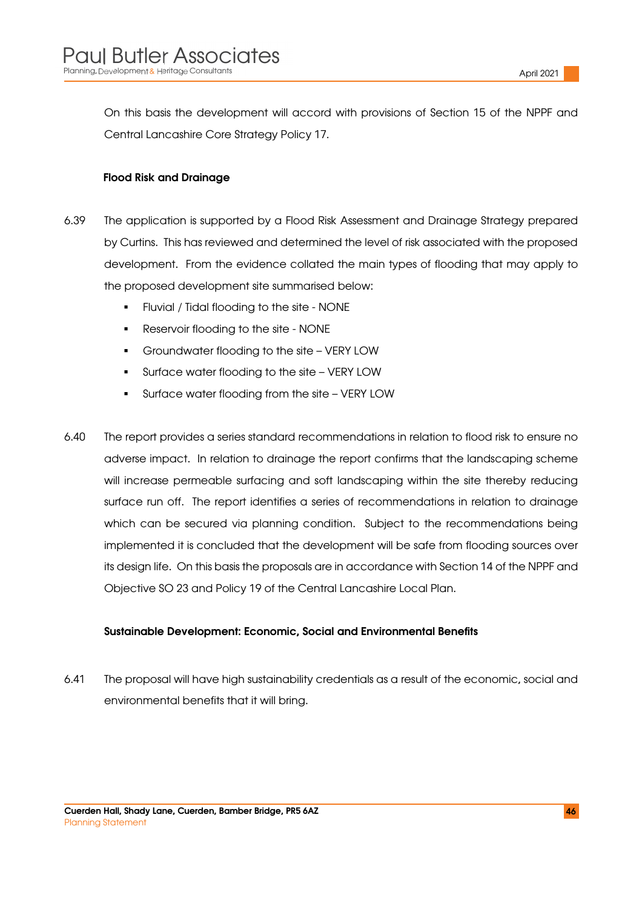On this basis the development will accord with provisions of Section 15 of the NPPF and Central Lancashire Core Strategy Policy 17.

#### Flood Risk and Drainage

- 6.39 The application is supported by a Flood Risk Assessment and Drainage Strategy prepared by Curtins. This has reviewed and determined the level of risk associated with the proposed development. From the evidence collated the main types of flooding that may apply to the proposed development site summarised below:
	- Fluvial / Tidal flooding to the site NONE
	- Reservoir flooding to the site NONE
	- Groundwater flooding to the site VERY LOW
	- Surface water flooding to the site VERY LOW
	- Surface water flooding from the site VERY LOW
- 6.40 The report provides a series standard recommendations in relation to flood risk to ensure no adverse impact. In relation to drainage the report confirms that the landscaping scheme will increase permeable surfacing and soft landscaping within the site thereby reducing surface run off. The report identifies a series of recommendations in relation to drainage which can be secured via planning condition. Subject to the recommendations being implemented it is concluded that the development will be safe from flooding sources over its design life. On this basis the proposals are in accordance with Section 14 of the NPPF and Objective SO 23 and Policy 19 of the Central Lancashire Local Plan.

#### Sustainable Development: Economic, Social and Environmental Benefits

6.41 The proposal will have high sustainability credentials as a result of the economic, social and environmental benefits that it will bring.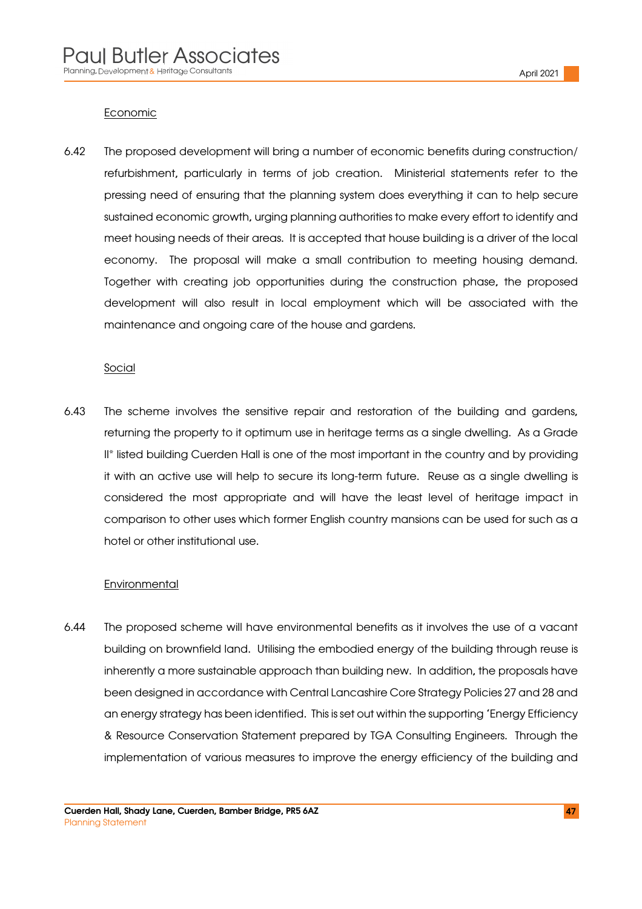#### Economic

6.42 The proposed development will bring a number of economic benefits during construction/ refurbishment, particularly in terms of job creation. Ministerial statements refer to the pressing need of ensuring that the planning system does everything it can to help secure sustained economic growth, urging planning authorities to make every effort to identify and meet housing needs of their areas. It is accepted that house building is a driver of the local economy. The proposal will make a small contribution to meeting housing demand. Together with creating job opportunities during the construction phase, the proposed development will also result in local employment which will be associated with the maintenance and ongoing care of the house and gardens.

#### **Social**

6.43 The scheme involves the sensitive repair and restoration of the building and gardens, returning the property to it optimum use in heritage terms as a single dwelling. As a Grade II<sup>\*</sup> listed building Cuerden Hall is one of the most important in the country and by providing it with an active use will help to secure its long-term future. Reuse as a single dwelling is considered the most appropriate and will have the least level of heritage impact in comparison to other uses which former English country mansions can be used for such as a hotel or other institutional use.

#### **Environmental**

6.44 The proposed scheme will have environmental benefits as it involves the use of a vacant building on brownfield land. Utilising the embodied energy of the building through reuse is inherently a more sustainable approach than building new. In addition, the proposals have been designed in accordance with Central Lancashire Core Strategy Policies 27 and 28 and an energy strategy has been identified. This is set out within the supporting 'Energy Efficiency & Resource Conservation Statement prepared by TGA Consulting Engineers. Through the implementation of various measures to improve the energy efficiency of the building and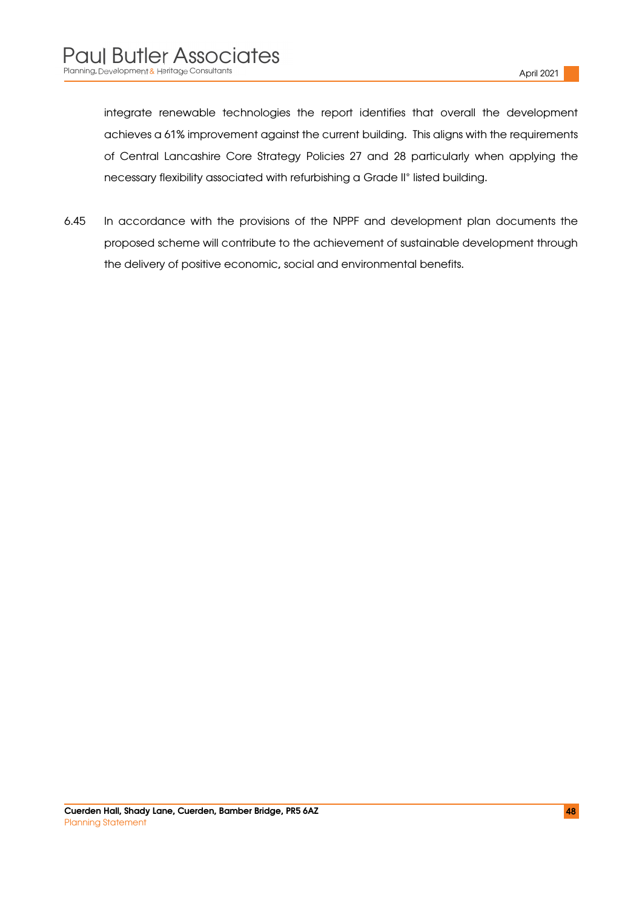integrate renewable technologies the report identifies that overall the development achieves a 61% improvement against the current building. This aligns with the requirements of Central Lancashire Core Strategy Policies 27 and 28 particularly when applying the necessary flexibility associated with refurbishing a Grade II\* listed building.

6.45 In accordance with the provisions of the NPPF and development plan documents the proposed scheme will contribute to the achievement of sustainable development through the delivery of positive economic, social and environmental benefits.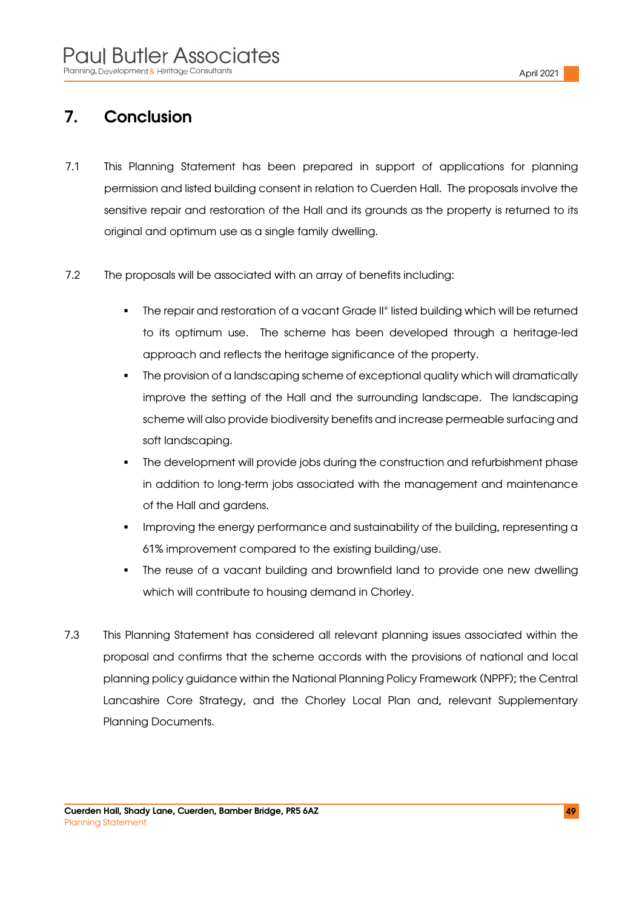# 7. Conclusion

- 7.1 This Planning Statement has been prepared in support of applications for planning permission and listed building consent in relation to Cuerden Hall. The proposals involve the sensitive repair and restoration of the Hall and its grounds as the property is returned to its original and optimum use as a single family dwelling.
- 7.2 The proposals will be associated with an array of benefits including:
	- The repair and restoration of a vacant Grade II\* listed building which will be returned to its optimum use. The scheme has been developed through a heritage-led approach and reflects the heritage significance of the property.
	- The provision of a landscaping scheme of exceptional quality which will dramatically improve the setting of the Hall and the surrounding landscape. The landscaping scheme will also provide biodiversity benefits and increase permeable surfacing and soft landscaping.
	- The development will provide jobs during the construction and refurbishment phase in addition to long-term jobs associated with the management and maintenance of the Hall and gardens.
	- Improving the energy performance and sustainability of the building, representing a 61% improvement compared to the existing building/use.
	- The reuse of a vacant building and brownfield land to provide one new dwelling which will contribute to housing demand in Chorley.
- 7.3 This Planning Statement has considered all relevant planning issues associated within the proposal and confirms that the scheme accords with the provisions of national and local planning policy guidance within the National Planning Policy Framework (NPPF); the Central Lancashire Core Strategy, and the Chorley Local Plan and, relevant Supplementary Planning Documents.